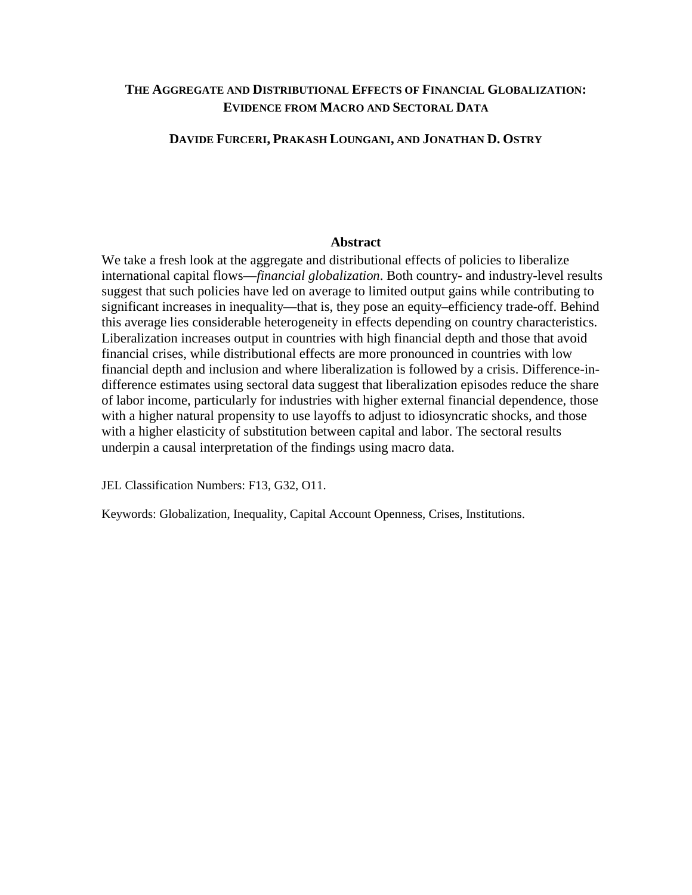## **THE AGGREGATE AND DISTRIBUTIONAL EFFECTS OF FINANCIAL GLOBALIZATION: EVIDENCE FROM MACRO AND SECTORAL DATA**

## **DAVIDE FURCERI, PRAKASH LOUNGANI, AND JONATHAN D. OSTRY**

## **Abstract**

We take a fresh look at the aggregate and distributional effects of policies to liberalize international capital flows—*financial globalization*. Both country- and industry-level results suggest that such policies have led on average to limited output gains while contributing to significant increases in inequality—that is, they pose an equity–efficiency trade-off. Behind this average lies considerable heterogeneity in effects depending on country characteristics. Liberalization increases output in countries with high financial depth and those that avoid financial crises, while distributional effects are more pronounced in countries with low financial depth and inclusion and where liberalization is followed by a crisis. Difference-indifference estimates using sectoral data suggest that liberalization episodes reduce the share of labor income, particularly for industries with higher external financial dependence, those with a higher natural propensity to use layoffs to adjust to idiosyncratic shocks, and those with a higher elasticity of substitution between capital and labor. The sectoral results underpin a causal interpretation of the findings using macro data.

JEL Classification Numbers: F13, G32, O11.

Keywords: Globalization, Inequality, Capital Account Openness, Crises, Institutions.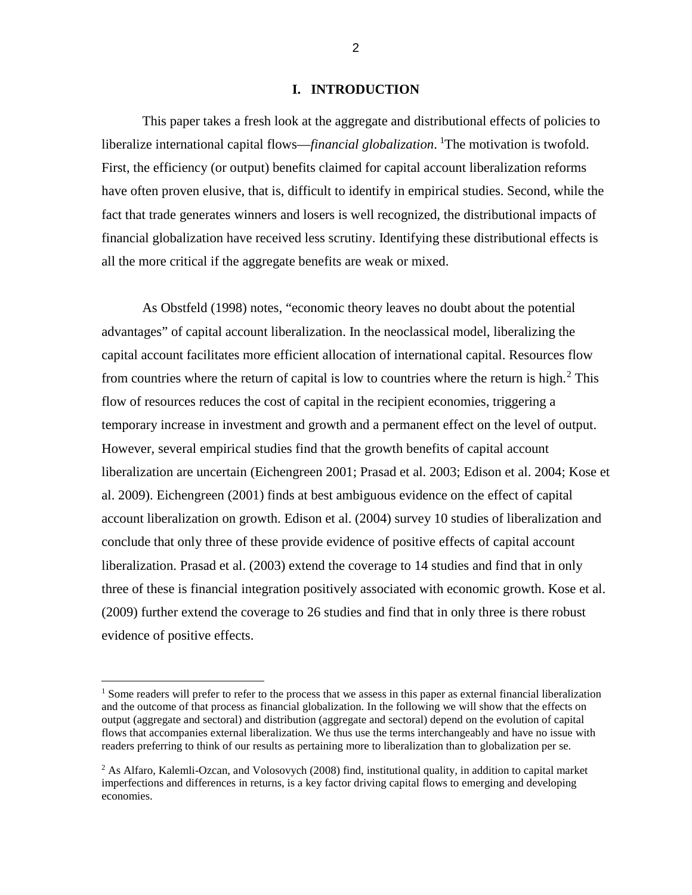## **I. INTRODUCTION**

This paper takes a fresh look at the aggregate and distributional effects of policies to liberalize international capital flows—*financial globalization*. <sup>[1](#page-1-0)</sup>The motivation is twofold. First, the efficiency (or output) benefits claimed for capital account liberalization reforms have often proven elusive, that is, difficult to identify in empirical studies. Second, while the fact that trade generates winners and losers is well recognized, the distributional impacts of financial globalization have received less scrutiny. Identifying these distributional effects is all the more critical if the aggregate benefits are weak or mixed.

As Obstfeld (1998) notes, "economic theory leaves no doubt about the potential advantages" of capital account liberalization. In the neoclassical model, liberalizing the capital account facilitates more efficient allocation of international capital. Resources flow from countries where the return of capital is low to countries where the return is high.<sup>[2](#page-1-1)</sup> This flow of resources reduces the cost of capital in the recipient economies, triggering a temporary increase in investment and growth and a permanent effect on the level of output. However, several empirical studies find that the growth benefits of capital account liberalization are uncertain (Eichengreen 2001; Prasad et al. 2003; Edison et al. 2004; Kose et al. 2009). Eichengreen (2001) finds at best ambiguous evidence on the effect of capital account liberalization on growth. Edison et al. (2004) survey 10 studies of liberalization and conclude that only three of these provide evidence of positive effects of capital account liberalization. Prasad et al. (2003) extend the coverage to 14 studies and find that in only three of these is financial integration positively associated with economic growth. Kose et al. (2009) further extend the coverage to 26 studies and find that in only three is there robust evidence of positive effects.

l

<span id="page-1-0"></span><sup>&</sup>lt;sup>1</sup> Some readers will prefer to refer to the process that we assess in this paper as external financial liberalization and the outcome of that process as financial globalization. In the following we will show that the effects on output (aggregate and sectoral) and distribution (aggregate and sectoral) depend on the evolution of capital flows that accompanies external liberalization. We thus use the terms interchangeably and have no issue with readers preferring to think of our results as pertaining more to liberalization than to globalization per se.

<span id="page-1-1"></span> $2$  As Alfaro, Kalemli-Ozcan, and Volosovych (2008) find, institutional quality, in addition to capital market imperfections and differences in returns, is a key factor driving capital flows to emerging and developing economies.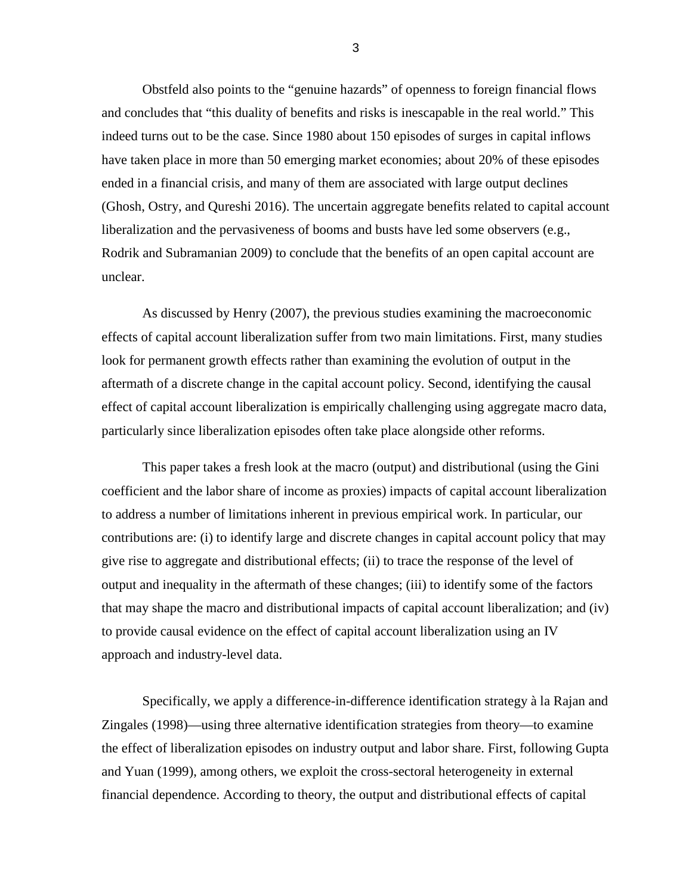Obstfeld also points to the "genuine hazards" of openness to foreign financial flows and concludes that "this duality of benefits and risks is inescapable in the real world." This indeed turns out to be the case. Since 1980 about 150 episodes of surges in capital inflows have taken place in more than 50 emerging market economies; about 20% of these episodes ended in a financial crisis, and many of them are associated with large output declines (Ghosh, Ostry, and Qureshi 2016). The uncertain aggregate benefits related to capital account liberalization and the pervasiveness of booms and busts have led some observers (e.g., Rodrik and Subramanian 2009) to conclude that the benefits of an open capital account are unclear.

As discussed by Henry (2007), the previous studies examining the macroeconomic effects of capital account liberalization suffer from two main limitations. First, many studies look for permanent growth effects rather than examining the evolution of output in the aftermath of a discrete change in the capital account policy. Second, identifying the causal effect of capital account liberalization is empirically challenging using aggregate macro data, particularly since liberalization episodes often take place alongside other reforms.

This paper takes a fresh look at the macro (output) and distributional (using the Gini coefficient and the labor share of income as proxies) impacts of capital account liberalization to address a number of limitations inherent in previous empirical work. In particular, our contributions are: (i) to identify large and discrete changes in capital account policy that may give rise to aggregate and distributional effects; (ii) to trace the response of the level of output and inequality in the aftermath of these changes; (iii) to identify some of the factors that may shape the macro and distributional impacts of capital account liberalization; and (iv) to provide causal evidence on the effect of capital account liberalization using an IV approach and industry-level data.

Specifically, we apply a difference-in-difference identification strategy à la Rajan and Zingales (1998)—using three alternative identification strategies from theory—to examine the effect of liberalization episodes on industry output and labor share. First, following Gupta and Yuan (1999), among others, we exploit the cross-sectoral heterogeneity in external financial dependence. According to theory, the output and distributional effects of capital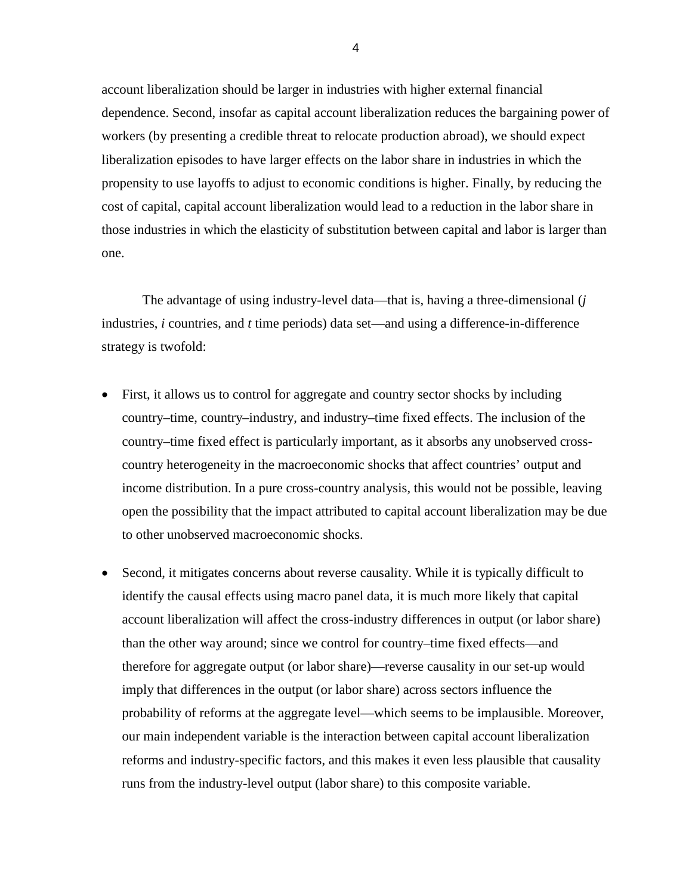account liberalization should be larger in industries with higher external financial dependence. Second, insofar as capital account liberalization reduces the bargaining power of workers (by presenting a credible threat to relocate production abroad), we should expect liberalization episodes to have larger effects on the labor share in industries in which the propensity to use layoffs to adjust to economic conditions is higher. Finally, by reducing the cost of capital, capital account liberalization would lead to a reduction in the labor share in those industries in which the elasticity of substitution between capital and labor is larger than one.

The advantage of using industry-level data—that is, having a three-dimensional (*j* industries, *i* countries, and *t* time periods) data set—and using a difference-in-difference strategy is twofold:

- First, it allows us to control for aggregate and country sector shocks by including country–time, country–industry, and industry–time fixed effects. The inclusion of the country–time fixed effect is particularly important, as it absorbs any unobserved crosscountry heterogeneity in the macroeconomic shocks that affect countries' output and income distribution. In a pure cross-country analysis, this would not be possible, leaving open the possibility that the impact attributed to capital account liberalization may be due to other unobserved macroeconomic shocks.
- Second, it mitigates concerns about reverse causality. While it is typically difficult to identify the causal effects using macro panel data, it is much more likely that capital account liberalization will affect the cross-industry differences in output (or labor share) than the other way around; since we control for country–time fixed effects—and therefore for aggregate output (or labor share)—reverse causality in our set-up would imply that differences in the output (or labor share) across sectors influence the probability of reforms at the aggregate level—which seems to be implausible. Moreover, our main independent variable is the interaction between capital account liberalization reforms and industry-specific factors, and this makes it even less plausible that causality runs from the industry-level output (labor share) to this composite variable.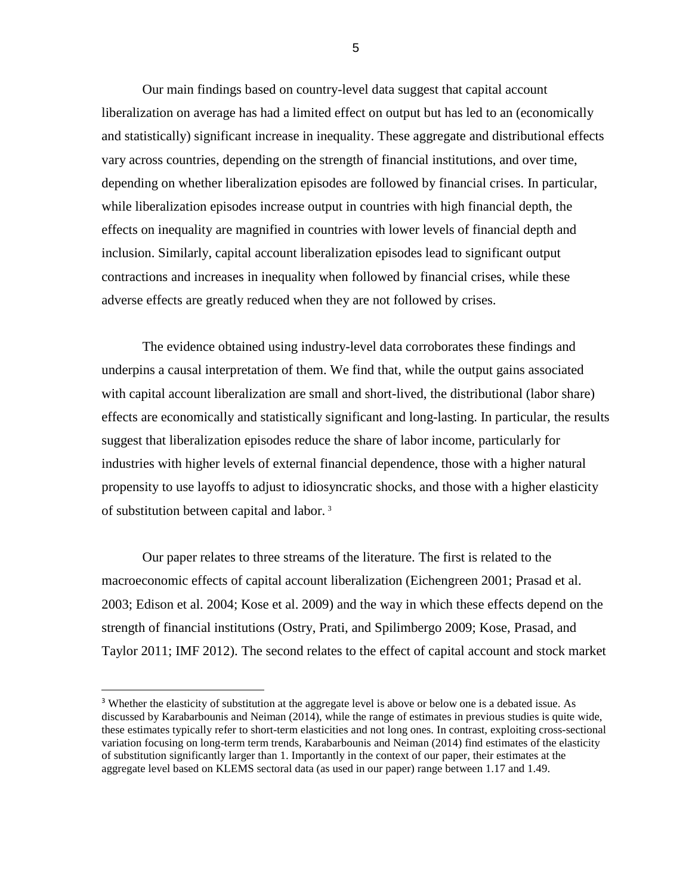Our main findings based on country-level data suggest that capital account liberalization on average has had a limited effect on output but has led to an (economically and statistically) significant increase in inequality. These aggregate and distributional effects vary across countries, depending on the strength of financial institutions, and over time, depending on whether liberalization episodes are followed by financial crises. In particular, while liberalization episodes increase output in countries with high financial depth, the effects on inequality are magnified in countries with lower levels of financial depth and inclusion. Similarly, capital account liberalization episodes lead to significant output contractions and increases in inequality when followed by financial crises, while these adverse effects are greatly reduced when they are not followed by crises.

The evidence obtained using industry-level data corroborates these findings and underpins a causal interpretation of them. We find that, while the output gains associated with capital account liberalization are small and short-lived, the distributional (labor share) effects are economically and statistically significant and long-lasting. In particular, the results suggest that liberalization episodes reduce the share of labor income, particularly for industries with higher levels of external financial dependence, those with a higher natural propensity to use layoffs to adjust to idiosyncratic shocks, and those with a higher elasticity of substitution between capital and labor. [3](#page-4-0)

Our paper relates to three streams of the literature. The first is related to the macroeconomic effects of capital account liberalization (Eichengreen 2001; Prasad et al. 2003; Edison et al. 2004; Kose et al. 2009) and the way in which these effects depend on the strength of financial institutions (Ostry, Prati, and Spilimbergo 2009; Kose, Prasad, and Taylor 2011; IMF 2012). The second relates to the effect of capital account and stock market

<span id="page-4-0"></span><sup>&</sup>lt;sup>3</sup> Whether the elasticity of substitution at the aggregate level is above or below one is a debated issue. As discussed by Karabarbounis and Neiman (2014), while the range of estimates in previous studies is quite wide, these estimates typically refer to short-term elasticities and not long ones. In contrast, exploiting cross-sectional variation focusing on long-term term trends, Karabarbounis and Neiman (2014) find estimates of the elasticity of substitution significantly larger than 1. Importantly in the context of our paper, their estimates at the aggregate level based on KLEMS sectoral data (as used in our paper) range between 1.17 and 1.49.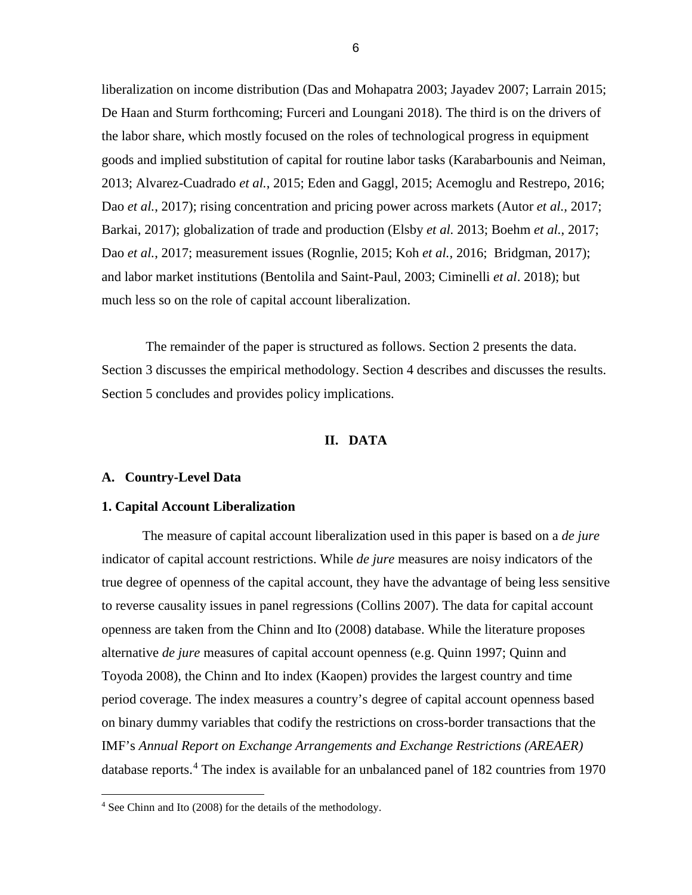liberalization on income distribution (Das and Mohapatra 2003; Jayadev 2007; Larrain 2015; De Haan and Sturm forthcoming; Furceri and Loungani 2018). The third is on the drivers of the labor share, which mostly focused on the roles of technological progress in equipment goods and implied substitution of capital for routine labor tasks (Karabarbounis and Neiman, 2013; Alvarez-Cuadrado *et al.*, 2015; Eden and Gaggl, 2015; Acemoglu and Restrepo, 2016; Dao *et al.*, 2017); rising concentration and pricing power across markets (Autor *et al.,* 2017; Barkai, 2017); globalization of trade and production (Elsby *et al.* 2013; Boehm *et al.*, 2017; Dao *et al.*, 2017; measurement issues (Rognlie, 2015; Koh *et al.,* 2016; Bridgman, 2017); and labor market institutions (Bentolila and Saint-Paul, 2003; Ciminelli *et al*. 2018); but much less so on the role of capital account liberalization.

The remainder of the paper is structured as follows. Section 2 presents the data. Section 3 discusses the empirical methodology. Section 4 describes and discusses the results. Section 5 concludes and provides policy implications.

## **II. DATA**

#### **A. Country-Level Data**

l

## **1. Capital Account Liberalization**

The measure of capital account liberalization used in this paper is based on a *de jure* indicator of capital account restrictions. While *de jure* measures are noisy indicators of the true degree of openness of the capital account, they have the advantage of being less sensitive to reverse causality issues in panel regressions (Collins 2007). The data for capital account openness are taken from the Chinn and Ito (2008) database. While the literature proposes alternative *de jure* measures of capital account openness (e.g. Quinn 1997; Quinn and Toyoda 2008), the Chinn and Ito index (Kaopen) provides the largest country and time period coverage. The index measures a country's degree of capital account openness based on binary dummy variables that codify the restrictions on cross-border transactions that the IMF's *Annual Report on Exchange Arrangements and Exchange Restrictions (AREAER)*  database reports.<sup>[4](#page-5-0)</sup> The index is available for an unbalanced panel of 182 countries from 1970

<span id="page-5-0"></span><sup>4</sup> See Chinn and Ito (2008) for the details of the methodology.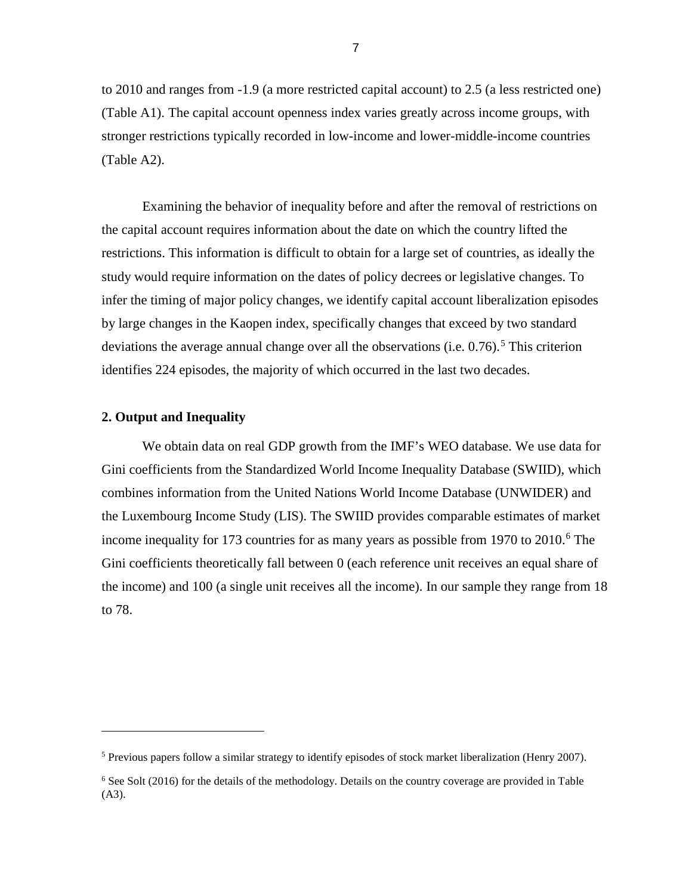to 2010 and ranges from -1.9 (a more restricted capital account) to 2.5 (a less restricted one) (Table A1). The capital account openness index varies greatly across income groups, with stronger restrictions typically recorded in low-income and lower-middle-income countries (Table A2).

Examining the behavior of inequality before and after the removal of restrictions on the capital account requires information about the date on which the country lifted the restrictions. This information is difficult to obtain for a large set of countries, as ideally the study would require information on the dates of policy decrees or legislative changes. To infer the timing of major policy changes, we identify capital account liberalization episodes by large changes in the Kaopen index, specifically changes that exceed by two standard deviations the average annual change over all the observations (i.e.  $0.76$ ).<sup>[5](#page-6-0)</sup> This criterion identifies 224 episodes, the majority of which occurred in the last two decades.

## **2. Output and Inequality**

l

We obtain data on real GDP growth from the IMF's WEO database. We use data for Gini coefficients from the Standardized World Income Inequality Database (SWIID), which combines information from the United Nations World Income Database (UNWIDER) and the Luxembourg Income Study (LIS). The SWIID provides comparable estimates of market income inequality for 173 countries for as many years as possible from 1970 to  $2010<sup>6</sup>$  $2010<sup>6</sup>$  $2010<sup>6</sup>$  The Gini coefficients theoretically fall between 0 (each reference unit receives an equal share of the income) and 100 (a single unit receives all the income). In our sample they range from 18 to 78.

<span id="page-6-0"></span><sup>5</sup> Previous papers follow a similar strategy to identify episodes of stock market liberalization (Henry 2007).

<span id="page-6-1"></span> $6$  See Solt (2016) for the details of the methodology. Details on the country coverage are provided in Table (A3).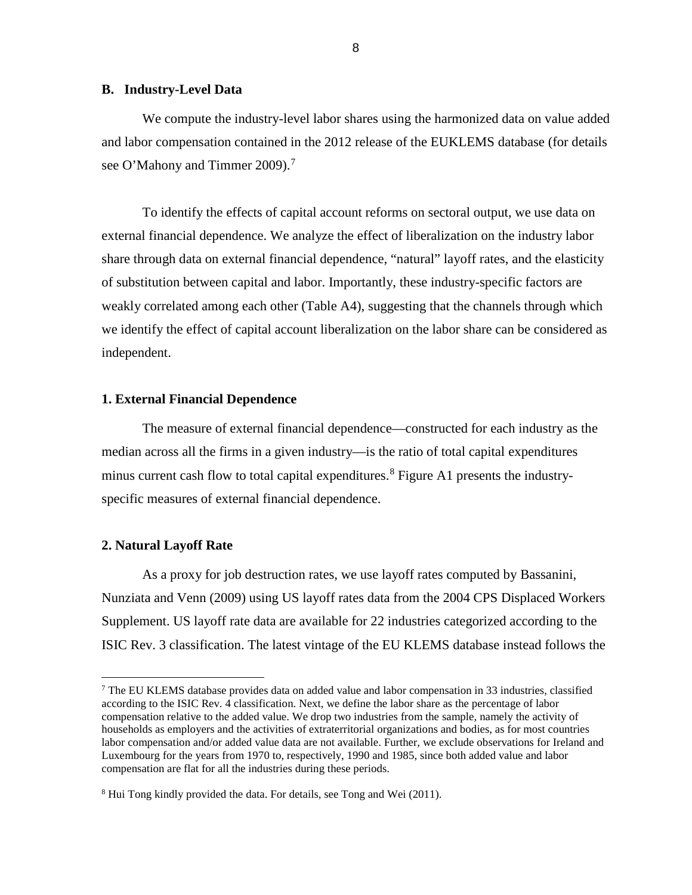## **B. Industry-Level Data**

We compute the industry-level labor shares using the harmonized data on value added and labor compensation contained in the 2012 release of the EUKLEMS database (for details see O'Mahony and Timmer 2009).<sup>[7](#page-7-0)</sup>

To identify the effects of capital account reforms on sectoral output, we use data on external financial dependence. We analyze the effect of liberalization on the industry labor share through data on external financial dependence, "natural" layoff rates, and the elasticity of substitution between capital and labor. Importantly, these industry-specific factors are weakly correlated among each other (Table A4), suggesting that the channels through which we identify the effect of capital account liberalization on the labor share can be considered as independent.

### **1. External Financial Dependence**

The measure of external financial dependence—constructed for each industry as the median across all the firms in a given industry—is the ratio of total capital expenditures minus current cash flow to total capital expenditures.<sup>[8](#page-7-1)</sup> Figure A1 presents the industryspecific measures of external financial dependence.

#### **2. Natural Layoff Rate**

l

As a proxy for job destruction rates, we use layoff rates computed by Bassanini, Nunziata and Venn (2009) using US layoff rates data from the 2004 CPS Displaced Workers Supplement. US layoff rate data are available for 22 industries categorized according to the ISIC Rev. 3 classification. The latest vintage of the EU KLEMS database instead follows the

<span id="page-7-0"></span><sup>7</sup> The EU KLEMS database provides data on added value and labor compensation in 33 industries, classified according to the ISIC Rev. 4 classification. Next, we define the labor share as the percentage of labor compensation relative to the added value. We drop two industries from the sample, namely the activity of households as employers and the activities of extraterritorial organizations and bodies, as for most countries labor compensation and/or added value data are not available. Further, we exclude observations for Ireland and Luxembourg for the years from 1970 to, respectively, 1990 and 1985, since both added value and labor compensation are flat for all the industries during these periods.

<span id="page-7-1"></span><sup>&</sup>lt;sup>8</sup> Hui Tong kindly provided the data. For details, see Tong and Wei (2011).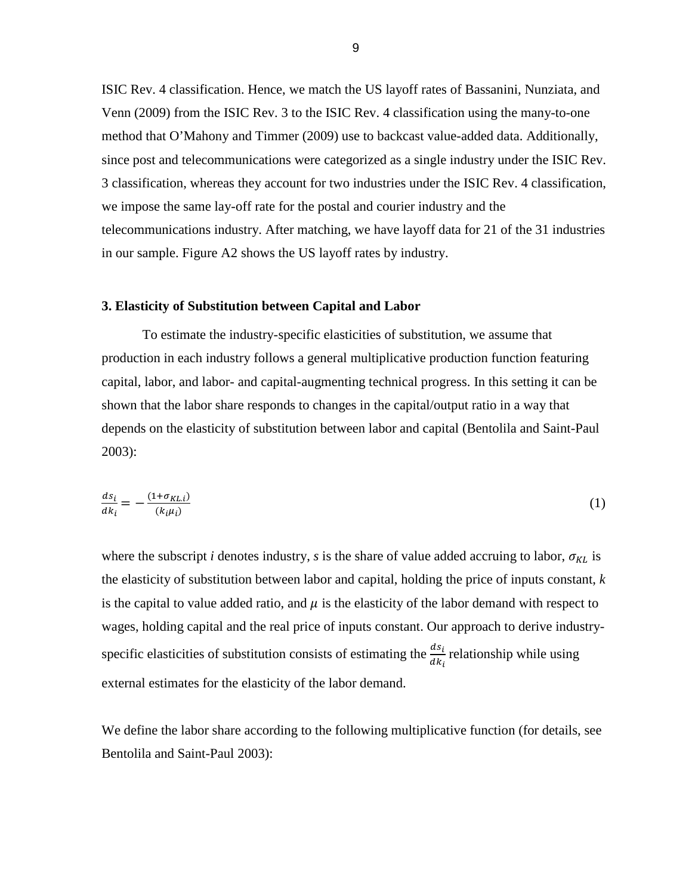ISIC Rev. 4 classification. Hence, we match the US layoff rates of Bassanini, Nunziata, and Venn (2009) from the ISIC Rev. 3 to the ISIC Rev. 4 classification using the many-to-one method that O'Mahony and Timmer (2009) use to backcast value-added data. Additionally, since post and telecommunications were categorized as a single industry under the ISIC Rev. 3 classification, whereas they account for two industries under the ISIC Rev. 4 classification, we impose the same lay-off rate for the postal and courier industry and the telecommunications industry. After matching, we have layoff data for 21 of the 31 industries in our sample. Figure A2 shows the US layoff rates by industry.

### **3. Elasticity of Substitution between Capital and Labor**

To estimate the industry-specific elasticities of substitution, we assume that production in each industry follows a general multiplicative production function featuring capital, labor, and labor- and capital-augmenting technical progress. In this setting it can be shown that the labor share responds to changes in the capital/output ratio in a way that depends on the elasticity of substitution between labor and capital (Bentolila and Saint-Paul 2003):

$$
\frac{ds_i}{dk_i} = -\frac{(1 + \sigma_{KL,i})}{(k_i \mu_i)}\tag{1}
$$

where the subscript *i* denotes industry, *s* is the share of value added accruing to labor,  $\sigma_{KL}$  is the elasticity of substitution between labor and capital, holding the price of inputs constant, *k* is the capital to value added ratio, and  $\mu$  is the elasticity of the labor demand with respect to wages, holding capital and the real price of inputs constant. Our approach to derive industryspecific elasticities of substitution consists of estimating the  $\frac{ds_i}{dt}$  $ak_i$ relationship while using external estimates for the elasticity of the labor demand.

We define the labor share according to the following multiplicative function (for details, see Bentolila and Saint-Paul 2003):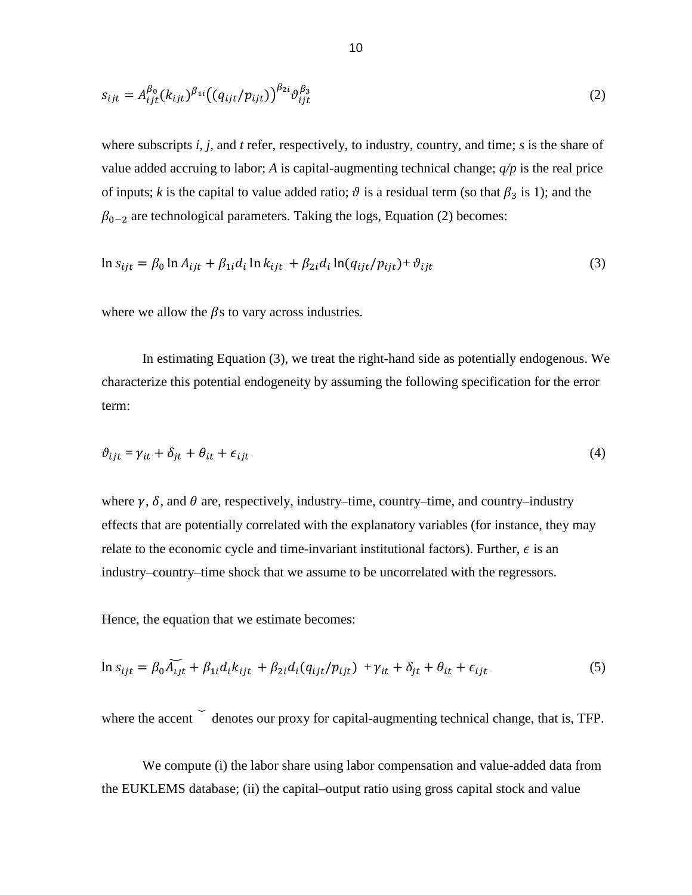$$
s_{ijt} = A_{ijt}^{\beta_0} (k_{ijt})^{\beta_{1i}} ((q_{ijt}/p_{ijt}))^{\beta_{2i}} \vartheta_{ijt}^{\beta_3}
$$
 (2)

where subscripts *i*, *j*, and *t* refer, respectively, to industry, country, and time; *s* is the share of value added accruing to labor; *A* is capital-augmenting technical change; *q/p* is the real price of inputs; *k* is the capital to value added ratio;  $\vartheta$  is a residual term (so that  $\beta_3$  is 1); and the  $\beta_{0-2}$  are technological parameters. Taking the logs, Equation (2) becomes:

$$
\ln s_{ijt} = \beta_0 \ln A_{ijt} + \beta_{1i} d_i \ln k_{ijt} + \beta_{2i} d_i \ln (q_{ijt}/p_{ijt}) + \vartheta_{ijt}
$$
\n(3)

where we allow the  $\beta$ s to vary across industries.

In estimating Equation (3), we treat the right-hand side as potentially endogenous. We characterize this potential endogeneity by assuming the following specification for the error term:

$$
\vartheta_{ijt} = \gamma_{it} + \delta_{jt} + \theta_{it} + \epsilon_{ijt} \tag{4}
$$

where  $\gamma$ ,  $\delta$ , and  $\theta$  are, respectively, industry–time, country–time, and country–industry effects that are potentially correlated with the explanatory variables (for instance, they may relate to the economic cycle and time-invariant institutional factors). Further,  $\epsilon$  is an industry–country–time shock that we assume to be uncorrelated with the regressors.

Hence, the equation that we estimate becomes:

$$
\ln s_{ijt} = \beta_0 \widetilde{A_{ijt}} + \beta_{1i} d_i k_{ijt} + \beta_{2i} d_i (q_{ijt}/p_{ijt}) + \gamma_{it} + \delta_{jt} + \theta_{it} + \epsilon_{ijt}
$$
\n<sup>(5)</sup>

where the accent  $\check{\phantom{\phi}}$  denotes our proxy for capital-augmenting technical change, that is, TFP.

We compute (i) the labor share using labor compensation and value-added data from the EUKLEMS database; (ii) the capital–output ratio using gross capital stock and value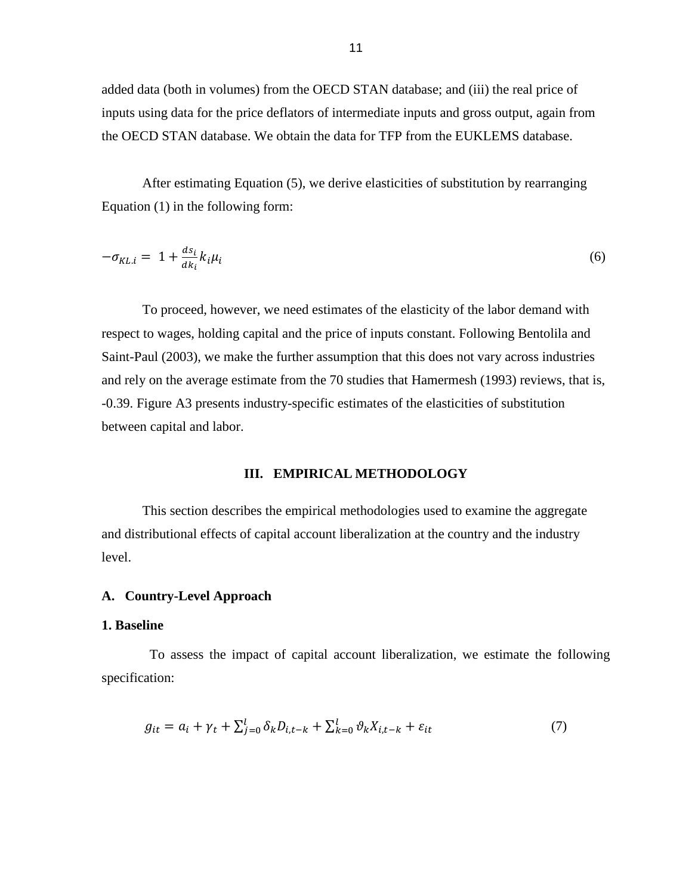added data (both in volumes) from the OECD STAN database; and (iii) the real price of inputs using data for the price deflators of intermediate inputs and gross output, again from the OECD STAN database. We obtain the data for TFP from the EUKLEMS database.

After estimating Equation (5), we derive elasticities of substitution by rearranging Equation (1) in the following form:

$$
-\sigma_{KL,i} = 1 + \frac{ds_i}{dk_i} k_i \mu_i \tag{6}
$$

To proceed, however, we need estimates of the elasticity of the labor demand with respect to wages, holding capital and the price of inputs constant. Following Bentolila and Saint-Paul (2003), we make the further assumption that this does not vary across industries and rely on the average estimate from the 70 studies that Hamermesh (1993) reviews, that is, -0.39. Figure A3 presents industry-specific estimates of the elasticities of substitution between capital and labor.

## **III. EMPIRICAL METHODOLOGY**

This section describes the empirical methodologies used to examine the aggregate and distributional effects of capital account liberalization at the country and the industry level.

## **A. Country-Level Approach**

#### **1. Baseline**

To assess the impact of capital account liberalization, we estimate the following specification:

$$
g_{it} = a_i + \gamma_t + \sum_{j=0}^l \delta_k D_{i,t-k} + \sum_{k=0}^l \vartheta_k X_{i,t-k} + \varepsilon_{it}
$$
\n<sup>(7)</sup>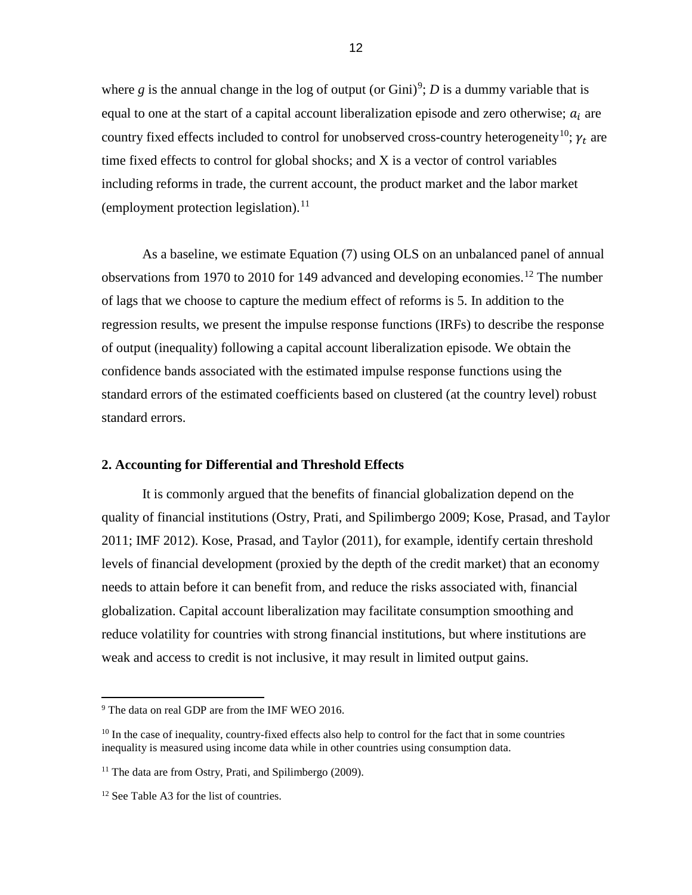where  $g$  is the annual change in the log of output (or Gini)<sup>[9](#page-11-0)</sup>;  $D$  is a dummy variable that is equal to one at the start of a capital account liberalization episode and zero otherwise;  $a_i$  are country fixed effects included to control for unobserved cross-country heterogeneity<sup>10</sup>;  $\gamma_t$  are time fixed effects to control for global shocks; and X is a vector of control variables including reforms in trade, the current account, the product market and the labor market (employment protection legislation). [11](#page-11-2)

As a baseline, we estimate Equation (7) using OLS on an unbalanced panel of annual observations from 1970 to 2010 for 149 advanced and developing economies.<sup>[12](#page-11-3)</sup> The number of lags that we choose to capture the medium effect of reforms is 5. In addition to the regression results, we present the impulse response functions (IRFs) to describe the response of output (inequality) following a capital account liberalization episode. We obtain the confidence bands associated with the estimated impulse response functions using the standard errors of the estimated coefficients based on clustered (at the country level) robust standard errors.

## **2. Accounting for Differential and Threshold Effects**

It is commonly argued that the benefits of financial globalization depend on the quality of financial institutions (Ostry, Prati, and Spilimbergo 2009; Kose, Prasad, and Taylor 2011; IMF 2012). Kose, Prasad, and Taylor (2011), for example, identify certain threshold levels of financial development (proxied by the depth of the credit market) that an economy needs to attain before it can benefit from, and reduce the risks associated with, financial globalization. Capital account liberalization may facilitate consumption smoothing and reduce volatility for countries with strong financial institutions, but where institutions are weak and access to credit is not inclusive, it may result in limited output gains.

l

<span id="page-11-0"></span><sup>&</sup>lt;sup>9</sup> The data on real GDP are from the IMF WEO 2016.

<span id="page-11-1"></span><sup>&</sup>lt;sup>10</sup> In the case of inequality, country-fixed effects also help to control for the fact that in some countries inequality is measured using income data while in other countries using consumption data.

<span id="page-11-2"></span><sup>&</sup>lt;sup>11</sup> The data are from Ostry, Prati, and Spilimbergo (2009).

<span id="page-11-3"></span><sup>&</sup>lt;sup>12</sup> See Table A3 for the list of countries.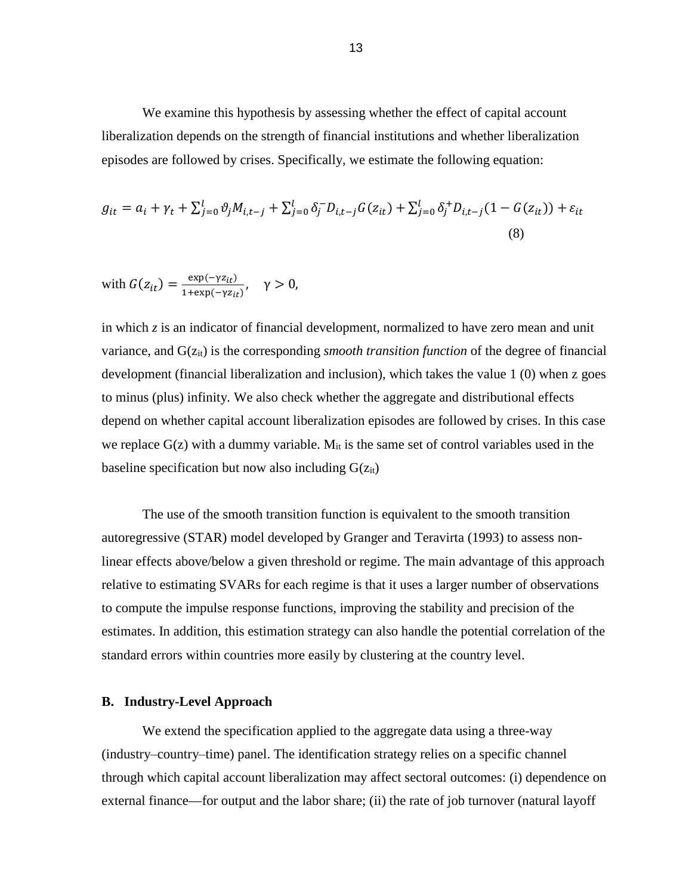We examine this hypothesis by assessing whether the effect of capital account liberalization depends on the strength of financial institutions and whether liberalization episodes are followed by crises. Specifically, we estimate the following equation:

$$
g_{it} = a_i + \gamma_t + \sum_{j=0}^{l} \vartheta_j M_{i,t-j} + \sum_{j=0}^{l} \delta_j^{-} D_{i,t-j} G(z_{it}) + \sum_{j=0}^{l} \delta_j^{+} D_{i,t-j} (1 - G(z_{it})) + \varepsilon_{it}
$$
\n(8)

with 
$$
G(z_{it}) = \frac{\exp(-\gamma z_{it})}{1 + \exp(-\gamma z_{it})}
$$
,  $\gamma > 0$ ,

in which *z* is an indicator of financial development, normalized to have zero mean and unit variance, and G( $z<sub>it</sub>$ ) is the corresponding *smooth transition function* of the degree of financial development (financial liberalization and inclusion), which takes the value 1 (0) when z goes to minus (plus) infinity. We also check whether the aggregate and distributional effects depend on whether capital account liberalization episodes are followed by crises. In this case we replace  $G(z)$  with a dummy variable.  $M_{it}$  is the same set of control variables used in the baseline specification but now also including  $G(z_{it})$ 

The use of the smooth transition function is equivalent to the smooth transition autoregressive (STAR) model developed by Granger and Teravirta (1993) to assess nonlinear effects above/below a given threshold or regime. The main advantage of this approach relative to estimating SVARs for each regime is that it uses a larger number of observations to compute the impulse response functions, improving the stability and precision of the estimates. In addition, this estimation strategy can also handle the potential correlation of the standard errors within countries more easily by clustering at the country level.

## **B. Industry-Level Approach**

We extend the specification applied to the aggregate data using a three-way (industry–country–time) panel. The identification strategy relies on a specific channel through which capital account liberalization may affect sectoral outcomes: (i) dependence on external finance—for output and the labor share; (ii) the rate of job turnover (natural layoff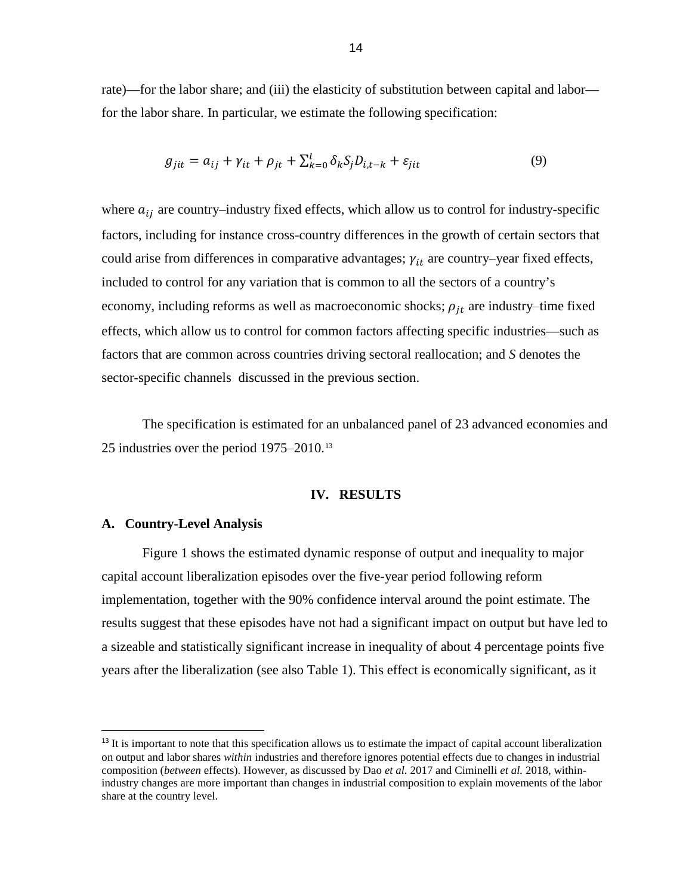rate)—for the labor share; and (iii) the elasticity of substitution between capital and labor for the labor share. In particular, we estimate the following specification:

$$
g_{jit} = a_{ij} + \gamma_{it} + \rho_{jt} + \sum_{k=0}^{l} \delta_k S_j D_{i,t-k} + \varepsilon_{jit}
$$
\n(9)

where  $a_{ij}$  are country–industry fixed effects, which allow us to control for industry-specific factors, including for instance cross-country differences in the growth of certain sectors that could arise from differences in comparative advantages;  $\gamma_{it}$  are country-year fixed effects, included to control for any variation that is common to all the sectors of a country's economy, including reforms as well as macroeconomic shocks;  $\rho_{it}$  are industry-time fixed effects, which allow us to control for common factors affecting specific industries—such as factors that are common across countries driving sectoral reallocation; and *S* denotes the sector-specific channels discussed in the previous section.

The specification is estimated for an unbalanced panel of 23 advanced economies and 25 industries over the period  $1975-2010$ .<sup>[13](#page-13-0)</sup>

#### **IV. RESULTS**

## **A. Country-Level Analysis**

Figure 1 shows the estimated dynamic response of output and inequality to major capital account liberalization episodes over the five-year period following reform implementation, together with the 90% confidence interval around the point estimate. The results suggest that these episodes have not had a significant impact on output but have led to a sizeable and statistically significant increase in inequality of about 4 percentage points five years after the liberalization (see also Table 1). This effect is economically significant, as it

<span id="page-13-0"></span><sup>&</sup>lt;sup>13</sup> It is important to note that this specification allows us to estimate the impact of capital account liberalization on output and labor shares *within* industries and therefore ignores potential effects due to changes in industrial composition (*between* effects). However, as discussed by Dao *et al.* 2017 and Ciminelli *et al.* 2018, withinindustry changes are more important than changes in industrial composition to explain movements of the labor share at the country level.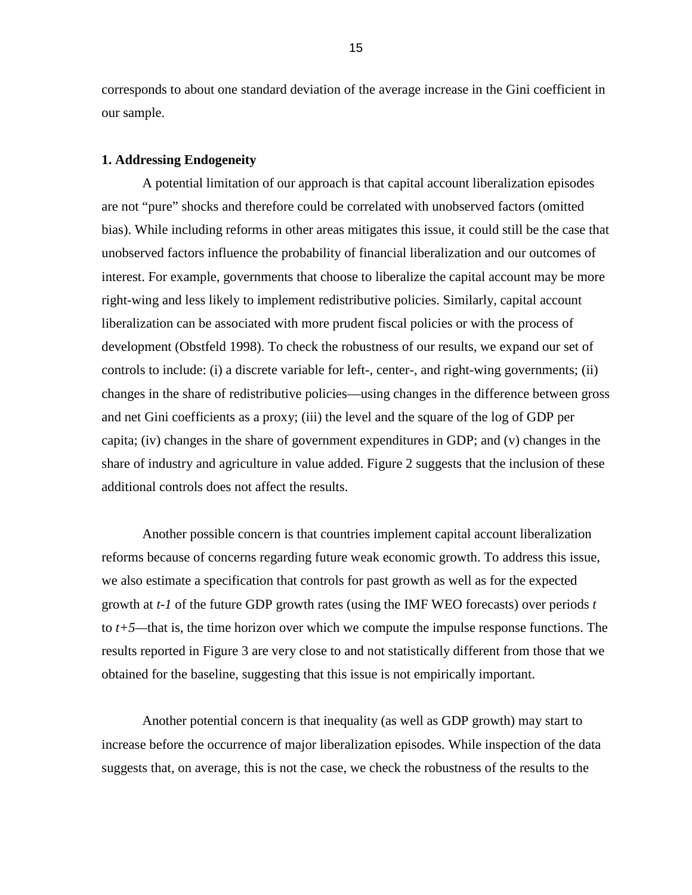corresponds to about one standard deviation of the average increase in the Gini coefficient in our sample.

#### **1. Addressing Endogeneity**

A potential limitation of our approach is that capital account liberalization episodes are not "pure" shocks and therefore could be correlated with unobserved factors (omitted bias). While including reforms in other areas mitigates this issue, it could still be the case that unobserved factors influence the probability of financial liberalization and our outcomes of interest. For example, governments that choose to liberalize the capital account may be more right-wing and less likely to implement redistributive policies. Similarly, capital account liberalization can be associated with more prudent fiscal policies or with the process of development (Obstfeld 1998). To check the robustness of our results, we expand our set of controls to include: (i) a discrete variable for left-, center-, and right-wing governments; (ii) changes in the share of redistributive policies—using changes in the difference between gross and net Gini coefficients as a proxy; (iii) the level and the square of the log of GDP per capita; (iv) changes in the share of government expenditures in GDP; and (v) changes in the share of industry and agriculture in value added. Figure 2 suggests that the inclusion of these additional controls does not affect the results.

Another possible concern is that countries implement capital account liberalization reforms because of concerns regarding future weak economic growth. To address this issue, we also estimate a specification that controls for past growth as well as for the expected growth at *t-1* of the future GDP growth rates (using the IMF WEO forecasts) over periods *t* to *t+5—*that is, the time horizon over which we compute the impulse response functions. The results reported in Figure 3 are very close to and not statistically different from those that we obtained for the baseline, suggesting that this issue is not empirically important.

Another potential concern is that inequality (as well as GDP growth) may start to increase before the occurrence of major liberalization episodes. While inspection of the data suggests that, on average, this is not the case, we check the robustness of the results to the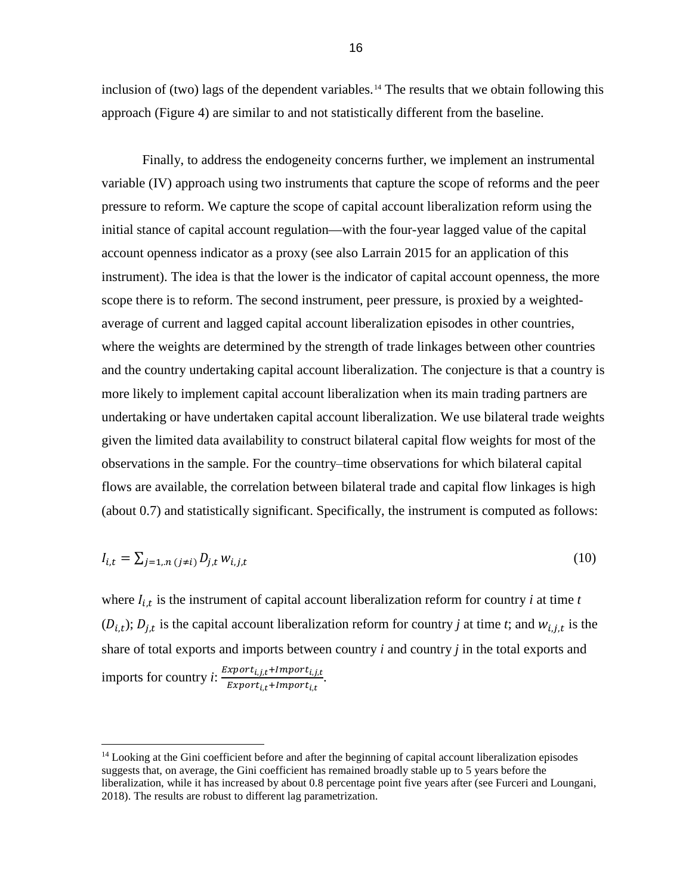inclusion of (two) lags of the dependent variables.<sup>[14](#page-15-0)</sup> The results that we obtain following this approach (Figure 4) are similar to and not statistically different from the baseline.

Finally, to address the endogeneity concerns further, we implement an instrumental variable (IV) approach using two instruments that capture the scope of reforms and the peer pressure to reform. We capture the scope of capital account liberalization reform using the initial stance of capital account regulation—with the four-year lagged value of the capital account openness indicator as a proxy (see also Larrain 2015 for an application of this instrument). The idea is that the lower is the indicator of capital account openness, the more scope there is to reform. The second instrument, peer pressure, is proxied by a weightedaverage of current and lagged capital account liberalization episodes in other countries, where the weights are determined by the strength of trade linkages between other countries and the country undertaking capital account liberalization. The conjecture is that a country is more likely to implement capital account liberalization when its main trading partners are undertaking or have undertaken capital account liberalization. We use bilateral trade weights given the limited data availability to construct bilateral capital flow weights for most of the observations in the sample. For the country-time observations for which bilateral capital flows are available, the correlation between bilateral trade and capital flow linkages is high (about 0.7) and statistically significant. Specifically, the instrument is computed as follows:

$$
I_{i,t} = \sum_{j=1,n} (j \neq i)} D_{j,t} w_{i,j,t}
$$
\n(10)

where  $I_{i,t}$  is the instrument of capital account liberalization reform for country *i* at time *t*  $(D_{i,t})$ ;  $D_{j,t}$  is the capital account liberalization reform for country *j* at time *t*; and  $W_{i,j,t}$  is the share of total exports and imports between country *i* and country *j* in the total exports and imports for country *i*:  $\frac{Export_{i,j,t} + Import_{i,j,t}}{Fermout + Impart}$ , Export<sub>i,t</sub>+Import<sub>i</sub> .

l

<span id="page-15-0"></span><sup>&</sup>lt;sup>14</sup> Looking at the Gini coefficient before and after the beginning of capital account liberalization episodes suggests that, on average, the Gini coefficient has remained broadly stable up to 5 years before the liberalization, while it has increased by about 0.8 percentage point five years after (see Furceri and Loungani, 2018). The results are robust to different lag parametrization.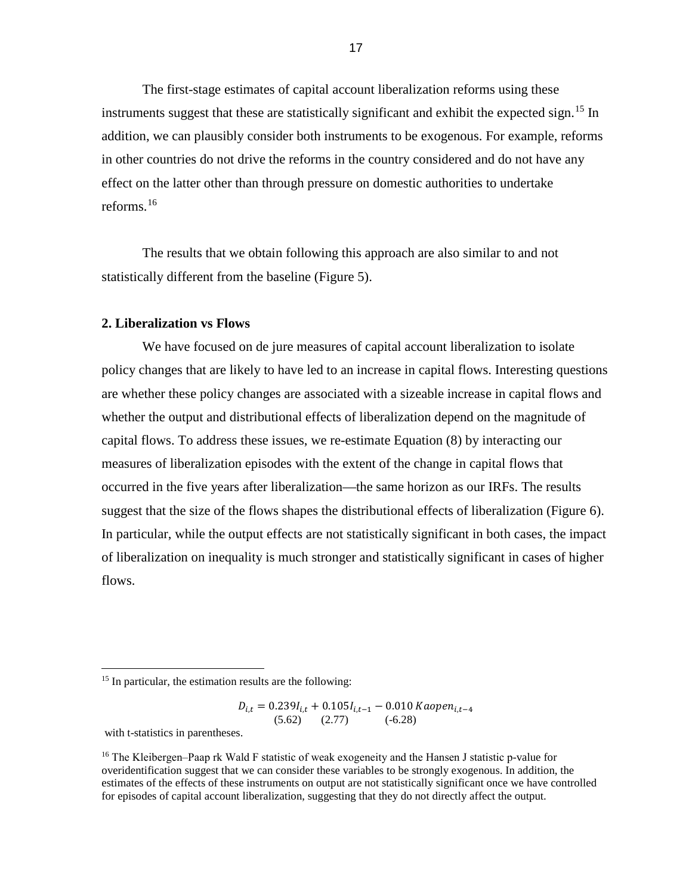The first-stage estimates of capital account liberalization reforms using these instruments suggest that these are statistically significant and exhibit the expected sign.<sup>[15](#page-16-0)</sup> In addition, we can plausibly consider both instruments to be exogenous. For example, reforms in other countries do not drive the reforms in the country considered and do not have any effect on the latter other than through pressure on domestic authorities to undertake reforms. [16](#page-16-1)

The results that we obtain following this approach are also similar to and not statistically different from the baseline (Figure 5).

## **2. Liberalization vs Flows**

We have focused on de jure measures of capital account liberalization to isolate policy changes that are likely to have led to an increase in capital flows. Interesting questions are whether these policy changes are associated with a sizeable increase in capital flows and whether the output and distributional effects of liberalization depend on the magnitude of capital flows. To address these issues, we re-estimate Equation (8) by interacting our measures of liberalization episodes with the extent of the change in capital flows that occurred in the five years after liberalization—the same horizon as our IRFs. The results suggest that the size of the flows shapes the distributional effects of liberalization (Figure 6). In particular, while the output effects are not statistically significant in both cases, the impact of liberalization on inequality is much stronger and statistically significant in cases of higher flows.

$$
D_{i,t} = 0.239I_{i,t} + 0.105I_{i,t-1} - 0.010 Kaopen_{i,t-4}
$$
  
(5.62) (2.77) (-6.28)

with t-statistics in parentheses.

 $\overline{a}$ 

<span id="page-16-1"></span><sup>16</sup> The Kleibergen–Paap rk Wald F statistic of weak exogeneity and the Hansen J statistic p-value for overidentification suggest that we can consider these variables to be strongly exogenous. In addition, the estimates of the effects of these instruments on output are not statistically significant once we have controlled for episodes of capital account liberalization, suggesting that they do not directly affect the output.

<span id="page-16-0"></span><sup>&</sup>lt;sup>15</sup> In particular, the estimation results are the following: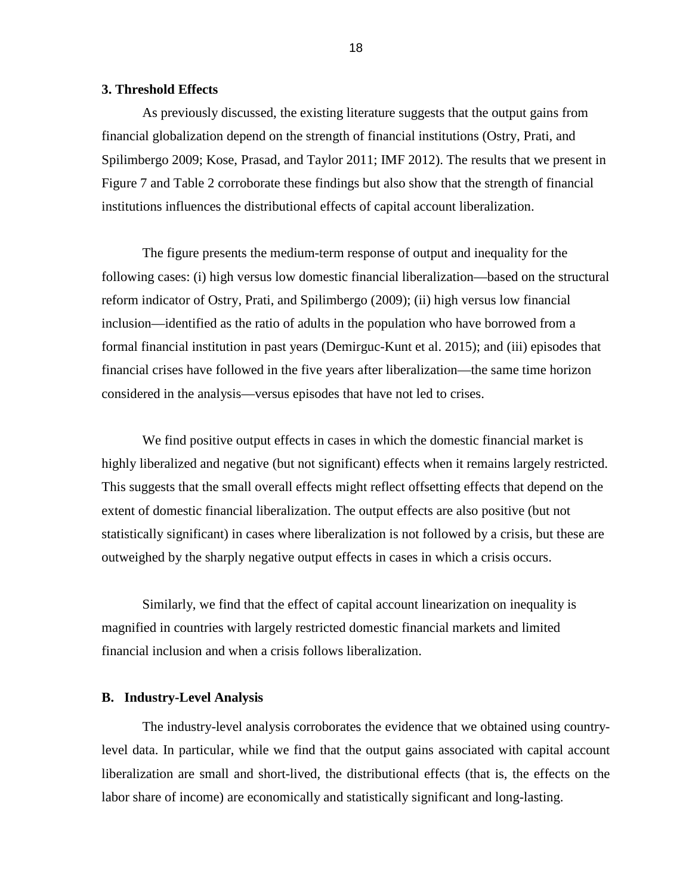## **3. Threshold Effects**

As previously discussed, the existing literature suggests that the output gains from financial globalization depend on the strength of financial institutions (Ostry, Prati, and Spilimbergo 2009; Kose, Prasad, and Taylor 2011; IMF 2012). The results that we present in Figure 7 and Table 2 corroborate these findings but also show that the strength of financial institutions influences the distributional effects of capital account liberalization.

The figure presents the medium-term response of output and inequality for the following cases: (i) high versus low domestic financial liberalization—based on the structural reform indicator of Ostry, Prati, and Spilimbergo (2009); (ii) high versus low financial inclusion—identified as the ratio of adults in the population who have borrowed from a formal financial institution in past years (Demirguc-Kunt et al. 2015); and (iii) episodes that financial crises have followed in the five years after liberalization—the same time horizon considered in the analysis—versus episodes that have not led to crises.

We find positive output effects in cases in which the domestic financial market is highly liberalized and negative (but not significant) effects when it remains largely restricted. This suggests that the small overall effects might reflect offsetting effects that depend on the extent of domestic financial liberalization. The output effects are also positive (but not statistically significant) in cases where liberalization is not followed by a crisis, but these are outweighed by the sharply negative output effects in cases in which a crisis occurs.

Similarly, we find that the effect of capital account linearization on inequality is magnified in countries with largely restricted domestic financial markets and limited financial inclusion and when a crisis follows liberalization.

## **B. Industry-Level Analysis**

The industry-level analysis corroborates the evidence that we obtained using countrylevel data. In particular, while we find that the output gains associated with capital account liberalization are small and short-lived, the distributional effects (that is, the effects on the labor share of income) are economically and statistically significant and long-lasting.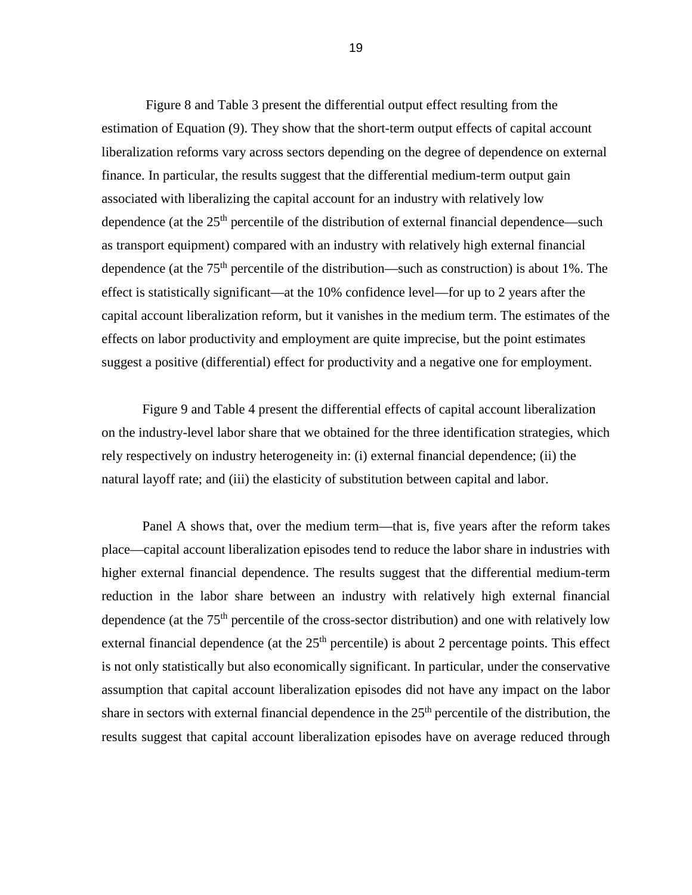Figure 8 and Table 3 present the differential output effect resulting from the estimation of Equation (9). They show that the short-term output effects of capital account liberalization reforms vary across sectors depending on the degree of dependence on external finance. In particular, the results suggest that the differential medium-term output gain associated with liberalizing the capital account for an industry with relatively low dependence (at the  $25<sup>th</sup>$  percentile of the distribution of external financial dependence—such as transport equipment) compared with an industry with relatively high external financial dependence (at the  $75<sup>th</sup>$  percentile of the distribution—such as construction) is about 1%. The effect is statistically significant—at the 10% confidence level—for up to 2 years after the capital account liberalization reform, but it vanishes in the medium term. The estimates of the effects on labor productivity and employment are quite imprecise, but the point estimates suggest a positive (differential) effect for productivity and a negative one for employment.

Figure 9 and Table 4 present the differential effects of capital account liberalization on the industry-level labor share that we obtained for the three identification strategies, which rely respectively on industry heterogeneity in: (i) external financial dependence; (ii) the natural layoff rate; and (iii) the elasticity of substitution between capital and labor.

Panel A shows that, over the medium term—that is, five years after the reform takes place—capital account liberalization episodes tend to reduce the labor share in industries with higher external financial dependence. The results suggest that the differential medium-term reduction in the labor share between an industry with relatively high external financial dependence (at the  $75<sup>th</sup>$  percentile of the cross-sector distribution) and one with relatively low external financial dependence (at the  $25<sup>th</sup>$  percentile) is about 2 percentage points. This effect is not only statistically but also economically significant. In particular, under the conservative assumption that capital account liberalization episodes did not have any impact on the labor share in sectors with external financial dependence in the  $25<sup>th</sup>$  percentile of the distribution, the results suggest that capital account liberalization episodes have on average reduced through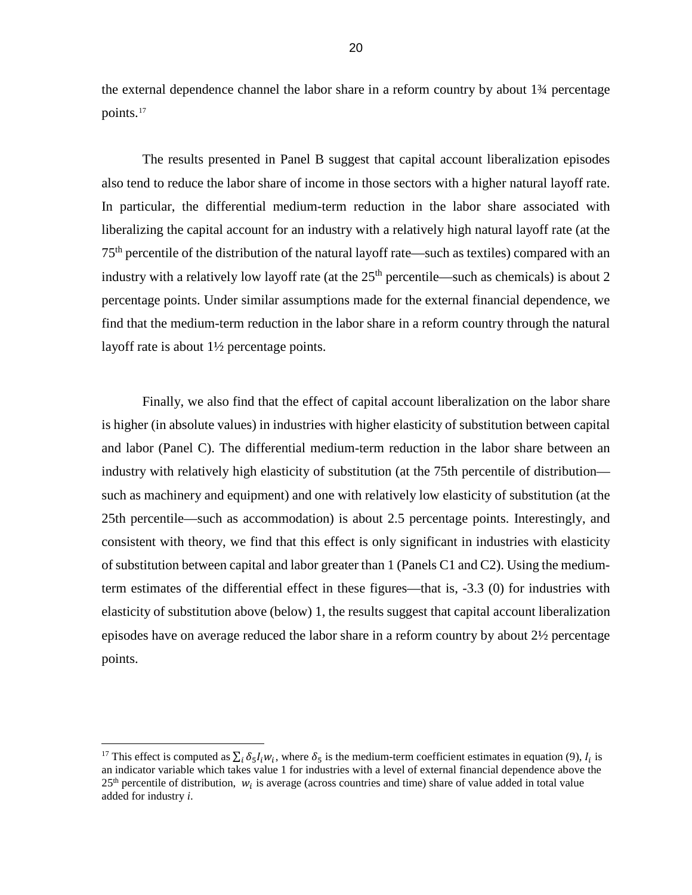the external dependence channel the labor share in a reform country by about 1¾ percentage points. [17](#page-19-0)

The results presented in Panel B suggest that capital account liberalization episodes also tend to reduce the labor share of income in those sectors with a higher natural layoff rate. In particular, the differential medium-term reduction in the labor share associated with liberalizing the capital account for an industry with a relatively high natural layoff rate (at the 75th percentile of the distribution of the natural layoff rate—such as textiles) compared with an industry with a relatively low layoff rate (at the  $25<sup>th</sup>$  percentile—such as chemicals) is about 2 percentage points. Under similar assumptions made for the external financial dependence, we find that the medium-term reduction in the labor share in a reform country through the natural layoff rate is about 1½ percentage points.

Finally, we also find that the effect of capital account liberalization on the labor share is higher (in absolute values) in industries with higher elasticity of substitution between capital and labor (Panel C). The differential medium-term reduction in the labor share between an industry with relatively high elasticity of substitution (at the 75th percentile of distribution such as machinery and equipment) and one with relatively low elasticity of substitution (at the 25th percentile—such as accommodation) is about 2.5 percentage points. Interestingly, and consistent with theory, we find that this effect is only significant in industries with elasticity of substitution between capital and labor greater than 1 (Panels C1 and C2). Using the mediumterm estimates of the differential effect in these figures—that is, -3.3 (0) for industries with elasticity of substitution above (below) 1, the results suggest that capital account liberalization episodes have on average reduced the labor share in a reform country by about 2½ percentage points.

 $\overline{\phantom{a}}$ 

<span id="page-19-0"></span><sup>&</sup>lt;sup>17</sup> This effect is computed as  $\sum_i \delta_{\varsigma} I_i w_i$ , where  $\delta_{\varsigma}$  is the medium-term coefficient estimates in equation (9),  $I_i$  is an indicator variable which takes value 1 for industries with a level of external financial dependence above the  $25<sup>th</sup>$  percentile of distribution,  $w_i$  is average (across countries and time) share of value added in total value added for industry *i*.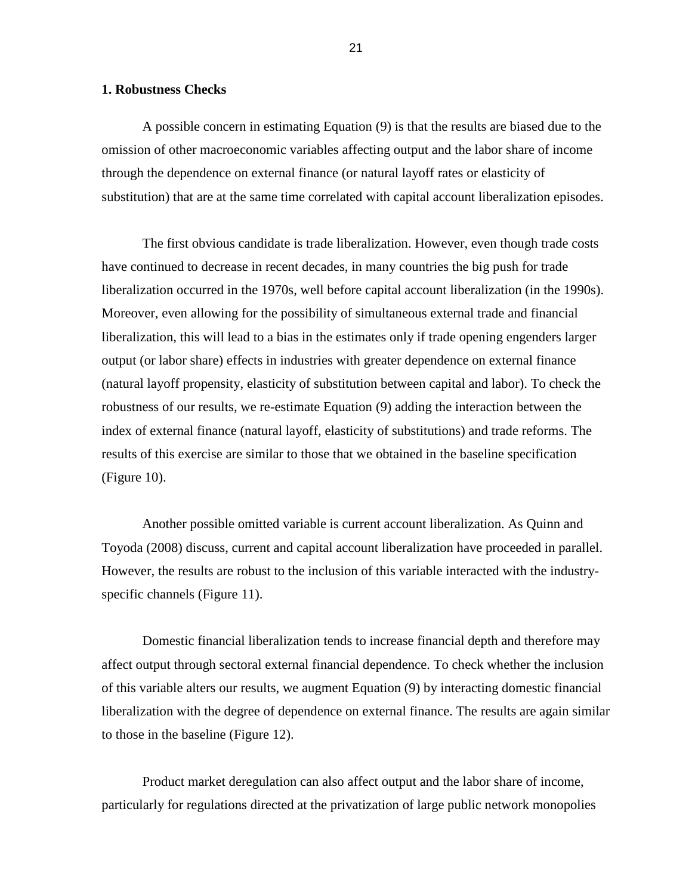## **1. Robustness Checks**

A possible concern in estimating Equation (9) is that the results are biased due to the omission of other macroeconomic variables affecting output and the labor share of income through the dependence on external finance (or natural layoff rates or elasticity of substitution) that are at the same time correlated with capital account liberalization episodes.

The first obvious candidate is trade liberalization. However, even though trade costs have continued to decrease in recent decades, in many countries the big push for trade liberalization occurred in the 1970s, well before capital account liberalization (in the 1990s). Moreover, even allowing for the possibility of simultaneous external trade and financial liberalization, this will lead to a bias in the estimates only if trade opening engenders larger output (or labor share) effects in industries with greater dependence on external finance (natural layoff propensity, elasticity of substitution between capital and labor). To check the robustness of our results, we re-estimate Equation (9) adding the interaction between the index of external finance (natural layoff, elasticity of substitutions) and trade reforms. The results of this exercise are similar to those that we obtained in the baseline specification (Figure 10).

Another possible omitted variable is current account liberalization. As Quinn and Toyoda (2008) discuss, current and capital account liberalization have proceeded in parallel. However, the results are robust to the inclusion of this variable interacted with the industryspecific channels (Figure 11).

Domestic financial liberalization tends to increase financial depth and therefore may affect output through sectoral external financial dependence. To check whether the inclusion of this variable alters our results, we augment Equation (9) by interacting domestic financial liberalization with the degree of dependence on external finance. The results are again similar to those in the baseline (Figure 12).

Product market deregulation can also affect output and the labor share of income, particularly for regulations directed at the privatization of large public network monopolies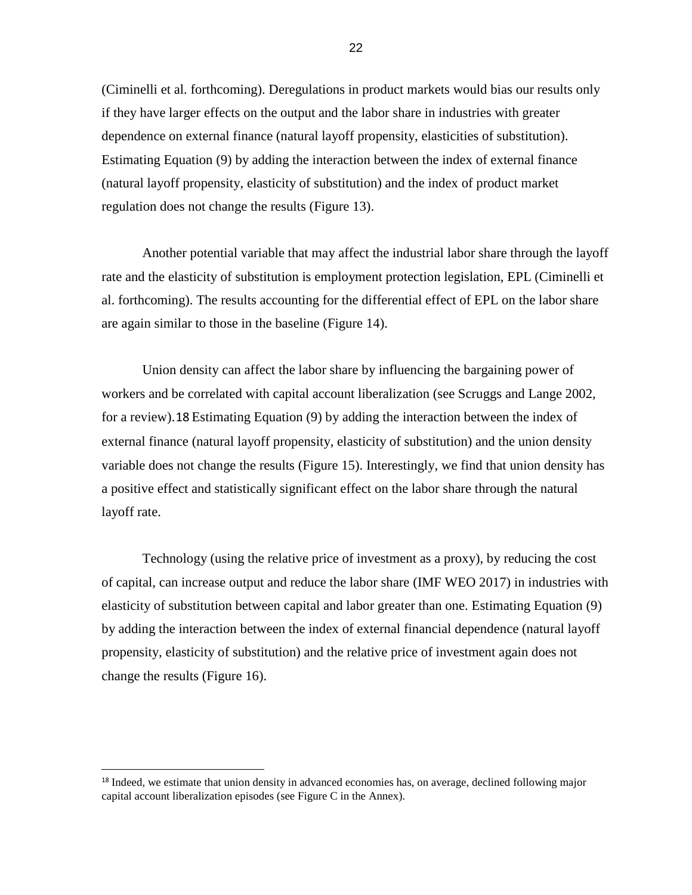(Ciminelli et al. forthcoming). Deregulations in product markets would bias our results only if they have larger effects on the output and the labor share in industries with greater dependence on external finance (natural layoff propensity, elasticities of substitution). Estimating Equation (9) by adding the interaction between the index of external finance (natural layoff propensity, elasticity of substitution) and the index of product market regulation does not change the results (Figure 13).

Another potential variable that may affect the industrial labor share through the layoff rate and the elasticity of substitution is employment protection legislation, EPL (Ciminelli et al. forthcoming). The results accounting for the differential effect of EPL on the labor share are again similar to those in the baseline (Figure 14).

Union density can affect the labor share by influencing the bargaining power of workers and be correlated with capital account liberalization (see Scruggs and Lange 2002, for a review).[18](#page-21-0) Estimating Equation (9) by adding the interaction between the index of external finance (natural layoff propensity, elasticity of substitution) and the union density variable does not change the results (Figure 15). Interestingly, we find that union density has a positive effect and statistically significant effect on the labor share through the natural layoff rate.

Technology (using the relative price of investment as a proxy), by reducing the cost of capital, can increase output and reduce the labor share (IMF WEO 2017) in industries with elasticity of substitution between capital and labor greater than one. Estimating Equation (9) by adding the interaction between the index of external financial dependence (natural layoff propensity, elasticity of substitution) and the relative price of investment again does not change the results (Figure 16).

<span id="page-21-0"></span><sup>&</sup>lt;sup>18</sup> Indeed, we estimate that union density in advanced economies has, on average, declined following major capital account liberalization episodes (see Figure C in the Annex).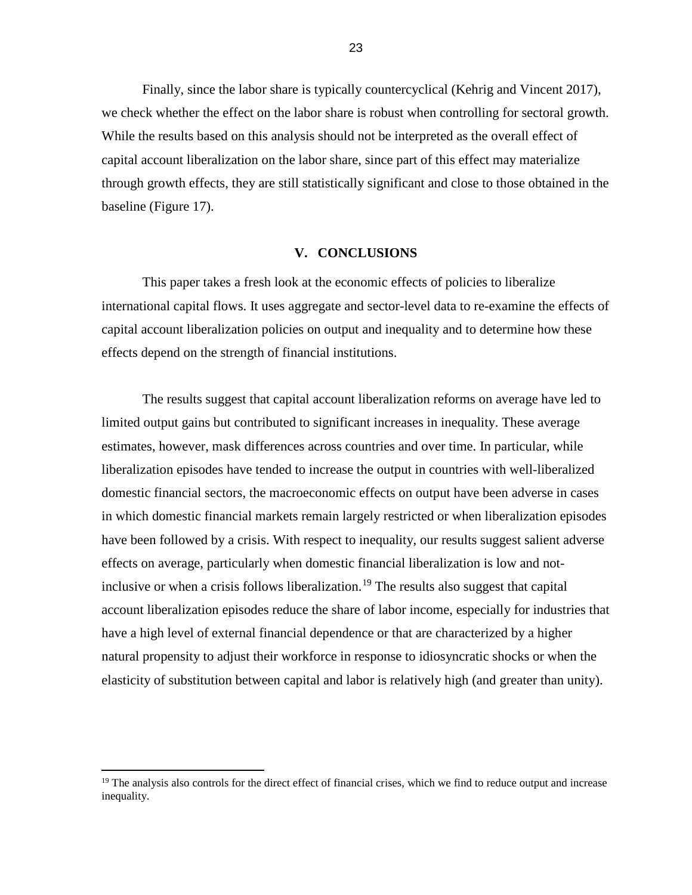Finally, since the labor share is typically countercyclical (Kehrig and Vincent 2017), we check whether the effect on the labor share is robust when controlling for sectoral growth. While the results based on this analysis should not be interpreted as the overall effect of capital account liberalization on the labor share, since part of this effect may materialize through growth effects, they are still statistically significant and close to those obtained in the baseline (Figure 17).

#### **V. CONCLUSIONS**

This paper takes a fresh look at the economic effects of policies to liberalize international capital flows. It uses aggregate and sector-level data to re-examine the effects of capital account liberalization policies on output and inequality and to determine how these effects depend on the strength of financial institutions.

The results suggest that capital account liberalization reforms on average have led to limited output gains but contributed to significant increases in inequality. These average estimates, however, mask differences across countries and over time. In particular, while liberalization episodes have tended to increase the output in countries with well-liberalized domestic financial sectors, the macroeconomic effects on output have been adverse in cases in which domestic financial markets remain largely restricted or when liberalization episodes have been followed by a crisis. With respect to inequality, our results suggest salient adverse effects on average, particularly when domestic financial liberalization is low and not-inclusive or when a crisis follows liberalization.<sup>[19](#page-22-0)</sup> The results also suggest that capital account liberalization episodes reduce the share of labor income, especially for industries that have a high level of external financial dependence or that are characterized by a higher natural propensity to adjust their workforce in response to idiosyncratic shocks or when the elasticity of substitution between capital and labor is relatively high (and greater than unity).

 $\overline{a}$ 

<span id="page-22-0"></span><sup>&</sup>lt;sup>19</sup> The analysis also controls for the direct effect of financial crises, which we find to reduce output and increase inequality.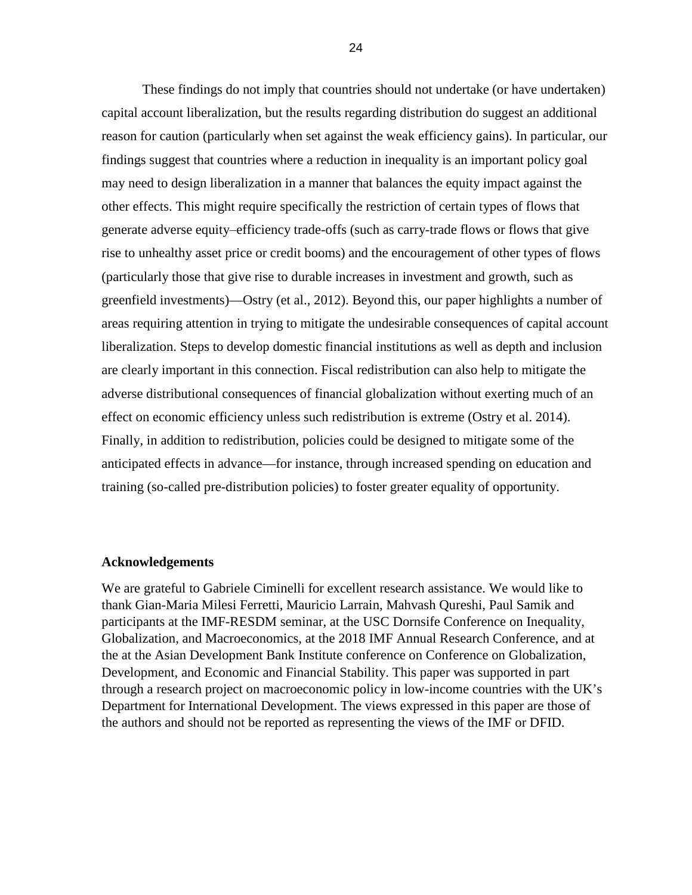These findings do not imply that countries should not undertake (or have undertaken) capital account liberalization, but the results regarding distribution do suggest an additional reason for caution (particularly when set against the weak efficiency gains). In particular, our findings suggest that countries where a reduction in inequality is an important policy goal may need to design liberalization in a manner that balances the equity impact against the other effects. This might require specifically the restriction of certain types of flows that generate adverse equity–efficiency trade-offs (such as carry-trade flows or flows that give rise to unhealthy asset price or credit booms) and the encouragement of other types of flows (particularly those that give rise to durable increases in investment and growth, such as greenfield investments)—Ostry (et al., 2012). Beyond this, our paper highlights a number of areas requiring attention in trying to mitigate the undesirable consequences of capital account liberalization. Steps to develop domestic financial institutions as well as depth and inclusion are clearly important in this connection. Fiscal redistribution can also help to mitigate the adverse distributional consequences of financial globalization without exerting much of an effect on economic efficiency unless such redistribution is extreme (Ostry et al. 2014). Finally, in addition to redistribution, policies could be designed to mitigate some of the anticipated effects in advance—for instance, through increased spending on education and training (so-called pre-distribution policies) to foster greater equality of opportunity.

## **Acknowledgements**

We are grateful to Gabriele Ciminelli for excellent research assistance. We would like to thank Gian-Maria Milesi Ferretti, Mauricio Larrain, Mahvash Qureshi, Paul Samik and participants at the IMF-RESDM seminar, at the USC Dornsife Conference on Inequality, Globalization, and Macroeconomics, at the 2018 IMF Annual Research Conference, and at the at the Asian Development Bank Institute conference on Conference on Globalization, Development, and Economic and Financial Stability. This paper was supported in part through a research project on macroeconomic policy in low-income countries with the UK's Department for International Development. The views expressed in this paper are those of the authors and should not be reported as representing the views of the IMF or DFID.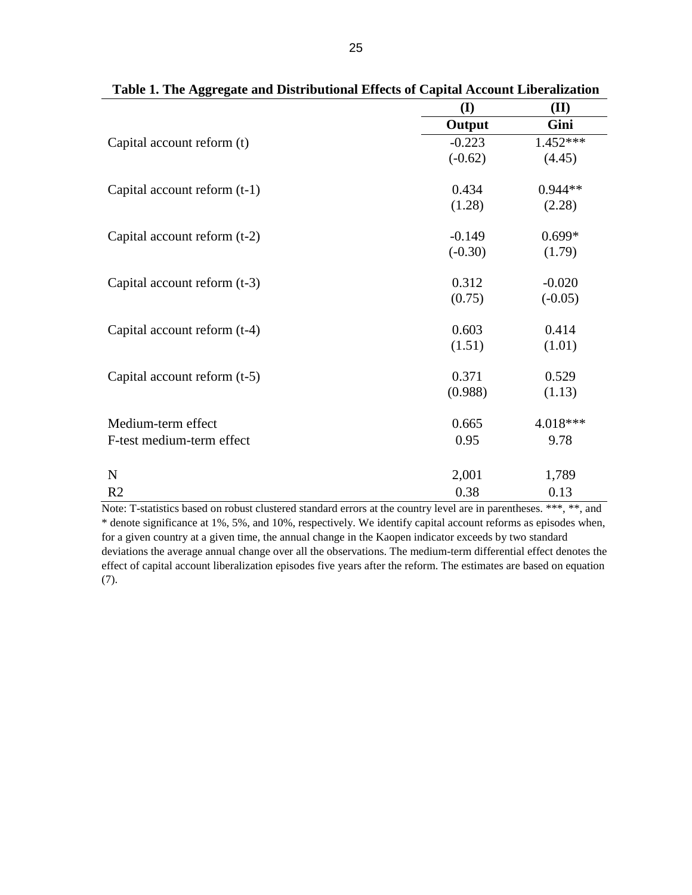|                                | (I)       | (II)       |
|--------------------------------|-----------|------------|
|                                | Output    | Gini       |
| Capital account reform (t)     | $-0.223$  | $1.452***$ |
|                                | $(-0.62)$ | (4.45)     |
| Capital account reform $(t-1)$ | 0.434     | $0.944**$  |
|                                | (1.28)    | (2.28)     |
| Capital account reform (t-2)   | $-0.149$  | $0.699*$   |
|                                | $(-0.30)$ | (1.79)     |
| Capital account reform (t-3)   | 0.312     | $-0.020$   |
|                                | (0.75)    | $(-0.05)$  |
| Capital account reform (t-4)   | 0.603     | 0.414      |
|                                | (1.51)    | (1.01)     |
| Capital account reform $(t-5)$ | 0.371     | 0.529      |
|                                | (0.988)   | (1.13)     |
| Medium-term effect             | 0.665     | 4.018***   |
| F-test medium-term effect      | 0.95      | 9.78       |
| ${\bf N}$                      | 2,001     | 1,789      |
| R <sub>2</sub>                 | 0.38      | 0.13       |

| Table 1. The Aggregate and Distributional Effects of Capital Account Liberalization |  |
|-------------------------------------------------------------------------------------|--|
|-------------------------------------------------------------------------------------|--|

Note: T-statistics based on robust clustered standard errors at the country level are in parentheses. \*\*\*, \*\*, and \* denote significance at 1%, 5%, and 10%, respectively. We identify capital account reforms as episodes when, for a given country at a given time, the annual change in the Kaopen indicator exceeds by two standard deviations the average annual change over all the observations. The medium-term differential effect denotes the effect of capital account liberalization episodes five years after the reform. The estimates are based on equation (7).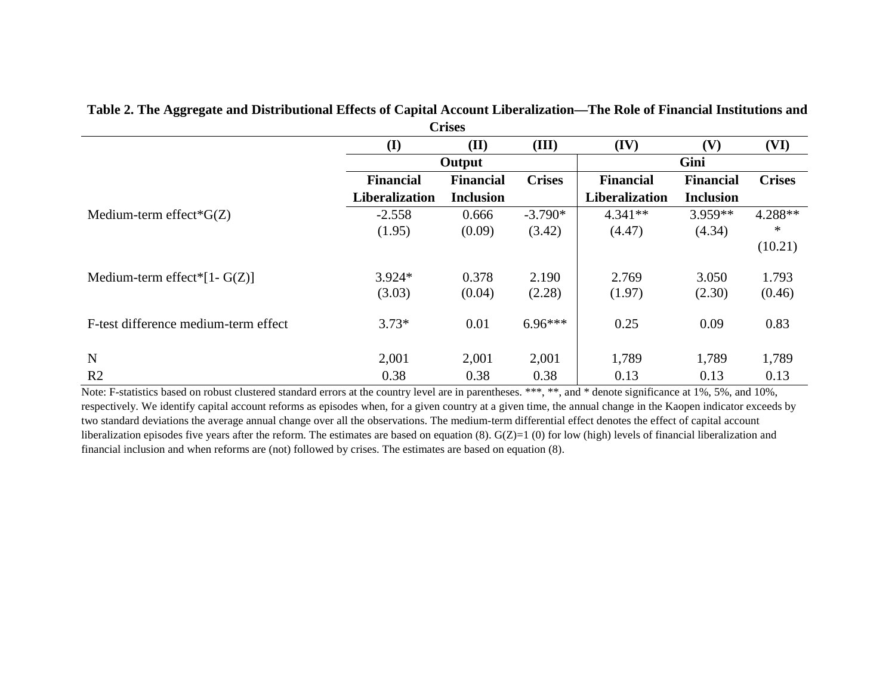|                                      |                  | <b>Crises</b>    |               |                  |                  |               |
|--------------------------------------|------------------|------------------|---------------|------------------|------------------|---------------|
|                                      | (I)              | (II)             | (III)         | (IV)             | (V)              | (VI)          |
|                                      |                  | Output           |               |                  | Gini             |               |
|                                      | <b>Financial</b> | <b>Financial</b> | <b>Crises</b> | <b>Financial</b> | <b>Financial</b> | <b>Crises</b> |
|                                      | Liberalization   | <b>Inclusion</b> |               | Liberalization   | <b>Inclusion</b> |               |
| Medium-term effect* $G(Z)$           | $-2.558$         | 0.666            | $-3.790*$     | $4.341**$        | $3.959**$        | $4.288**$     |
|                                      | (1.95)           | (0.09)           | (3.42)        | (4.47)           | (4.34)           | *             |
|                                      |                  |                  |               |                  |                  | (10.21)       |
| Medium-term effect*[1- $G(Z)$ ]      | $3.924*$         | 0.378            | 2.190         | 2.769            | 3.050            | 1.793         |
|                                      | (3.03)           | (0.04)           | (2.28)        | (1.97)           | (2.30)           | (0.46)        |
| F-test difference medium-term effect | $3.73*$          | 0.01             | $6.96***$     | 0.25             | 0.09             | 0.83          |
| N                                    | 2,001            | 2,001            | 2,001         | 1,789            | 1,789            | 1,789         |
| R <sub>2</sub>                       | 0.38             | 0.38             | 0.38          | 0.13             | 0.13             | 0.13          |

#### **Table 2. The Aggregate and Distributional Effects of Capital Account Liberalization—The Role of Financial Institutions and**   $\sim$

Note: F-statistics based on robust clustered standard errors at the country level are in parentheses. \*\*\*, \*\*, and \* denote significance at 1%, 5%, and 10%, respectively. We identify capital account reforms as episodes when, for a given country at a given time, the annual change in the Kaopen indicator exceeds by two standard deviations the average annual change over all the observations. The medium-term differential effect denotes the effect of capital account liberalization episodes five years after the reform. The estimates are based on equation (8). G(Z)=1 (0) for low (high) levels of financial liberalization and financial inclusion and when reforms are (not) followed by crises. The estimates are based on equation (8).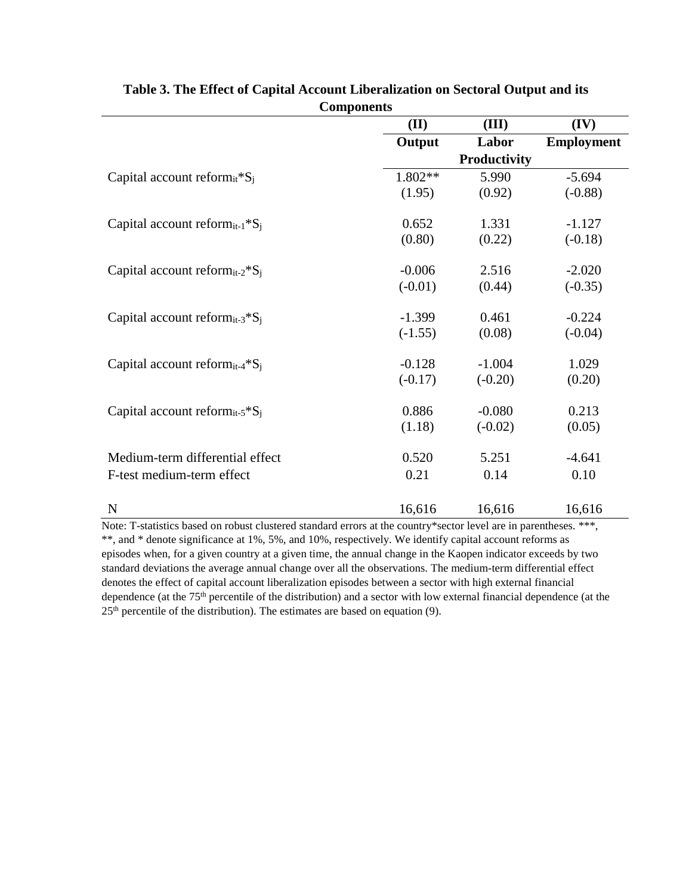|                                                        | (II)      | (III)        | (IV)              |
|--------------------------------------------------------|-----------|--------------|-------------------|
|                                                        | Output    | Labor        | <b>Employment</b> |
|                                                        |           | Productivity |                   |
| Capital account reform <sub>it</sub> *S <sub>i</sub>   | 1.802**   | 5.990        | $-5.694$          |
|                                                        | (1.95)    | (0.92)       | $(-0.88)$         |
| Capital account reform <sub>it-1</sub> $^*S_i$         | 0.652     | 1.331        | $-1.127$          |
|                                                        | (0.80)    | (0.22)       | $(-0.18)$         |
| Capital account reform <sub>it-2</sub> *S <sub>i</sub> | $-0.006$  | 2.516        | $-2.020$          |
|                                                        | $(-0.01)$ | (0.44)       | $(-0.35)$         |
| Capital account reform <sub>it-3</sub> *S <sub>i</sub> | $-1.399$  | 0.461        | $-0.224$          |
|                                                        | $(-1.55)$ | (0.08)       | $(-0.04)$         |
| Capital account reform <sub>it-4</sub> $^*S_i$         | $-0.128$  | $-1.004$     | 1.029             |
|                                                        | $(-0.17)$ | $(-0.20)$    | (0.20)            |
| Capital account reform <sub>it-5</sub> $^{\ast}S_i$    | 0.886     | $-0.080$     | 0.213             |
|                                                        | (1.18)    | $(-0.02)$    | (0.05)            |
| Medium-term differential effect                        | 0.520     | 5.251        | $-4.641$          |
| F-test medium-term effect                              | 0.21      | 0.14         | 0.10              |
| $\mathbf N$                                            | 16,616    | 16,616       | 16,616            |
|                                                        |           |              |                   |

| Table 3. The Effect of Capital Account Liberalization on Sectoral Output and its |
|----------------------------------------------------------------------------------|
| <b>Components</b>                                                                |

Note: T-statistics based on robust clustered standard errors at the country\*sector level are in parentheses. \*\*\*, \*\*, and \* denote significance at 1%, 5%, and 10%, respectively. We identify capital account reforms as episodes when, for a given country at a given time, the annual change in the Kaopen indicator exceeds by two standard deviations the average annual change over all the observations. The medium-term differential effect denotes the effect of capital account liberalization episodes between a sector with high external financial dependence (at the 75th percentile of the distribution) and a sector with low external financial dependence (at the  $25<sup>th</sup>$  percentile of the distribution). The estimates are based on equation (9).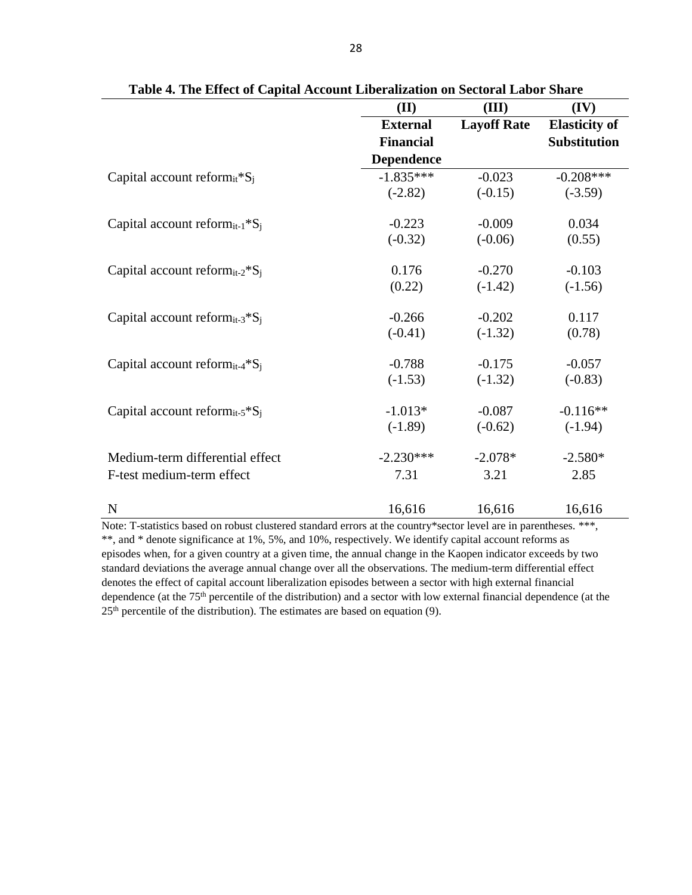|                                                                    | (II)              | (III)              | (IV)                 |
|--------------------------------------------------------------------|-------------------|--------------------|----------------------|
|                                                                    | <b>External</b>   | <b>Layoff Rate</b> | <b>Elasticity of</b> |
|                                                                    | <b>Financial</b>  |                    | <b>Substitution</b>  |
|                                                                    | <b>Dependence</b> |                    |                      |
| Capital account reform $_{it}$ <sup>*</sup> S <sub>i</sub>         | $-1.835***$       | $-0.023$           | $-0.208***$          |
|                                                                    | $(-2.82)$         | $(-0.15)$          | $(-3.59)$            |
| Capital account reform <sub>it-1</sub> $^*S_i$                     | $-0.223$          | $-0.009$           | 0.034                |
|                                                                    | $(-0.32)$         | $(-0.06)$          | (0.55)               |
| Capital account reform <sub>it-2</sub> *S <sub>i</sub>             | 0.176             | $-0.270$           | $-0.103$             |
|                                                                    | (0.22)            | $(-1.42)$          | $(-1.56)$            |
| Capital account reform <sub>it-3</sub> <sup>*</sup> S <sub>i</sub> | $-0.266$          | $-0.202$           | 0.117                |
|                                                                    | $(-0.41)$         | $(-1.32)$          | (0.78)               |
| Capital account reform <sub>it-4</sub> $^*S_i$                     | $-0.788$          | $-0.175$           | $-0.057$             |
|                                                                    | $(-1.53)$         | $(-1.32)$          | $(-0.83)$            |
| Capital account reform <sub>it-5</sub> ${}^*S_i$                   | $-1.013*$         | $-0.087$           | $-0.116**$           |
|                                                                    | $(-1.89)$         | $(-0.62)$          | $(-1.94)$            |
| Medium-term differential effect                                    | $-2.230***$       | $-2.078*$          | $-2.580*$            |
| F-test medium-term effect                                          | 7.31              | 3.21               | 2.85                 |
| N                                                                  | 16,616            | 16,616             | 16,616               |

**Table 4. The Effect of Capital Account Liberalization on Sectoral Labor Share**

Note: T-statistics based on robust clustered standard errors at the country\*sector level are in parentheses. \*\*\*, \*\*, and \* denote significance at 1%, 5%, and 10%, respectively. We identify capital account reforms as episodes when, for a given country at a given time, the annual change in the Kaopen indicator exceeds by two standard deviations the average annual change over all the observations. The medium-term differential effect denotes the effect of capital account liberalization episodes between a sector with high external financial dependence (at the 75th percentile of the distribution) and a sector with low external financial dependence (at the  $25<sup>th</sup>$  percentile of the distribution). The estimates are based on equation (9).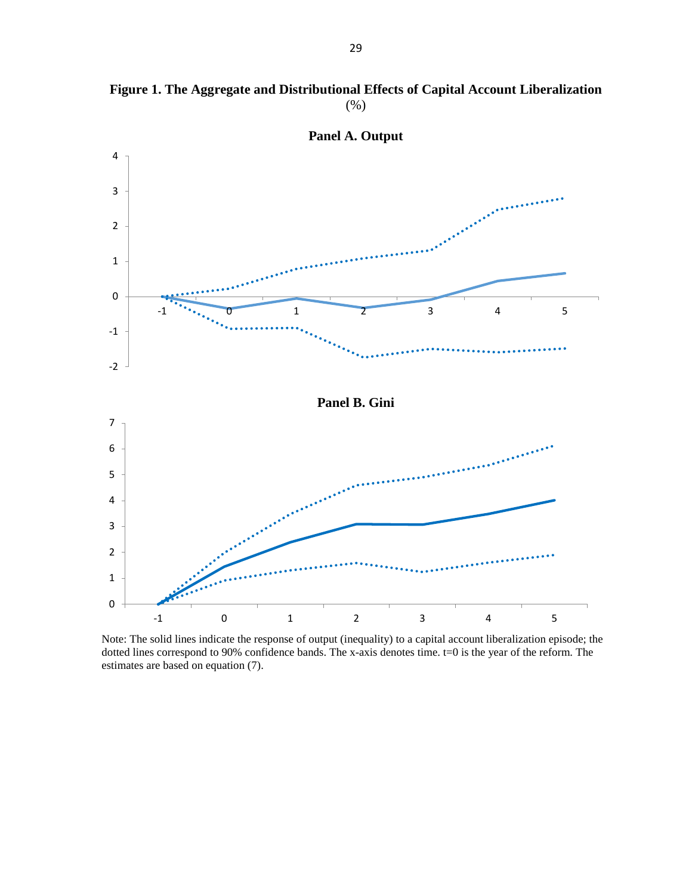

**Figure 1. The Aggregate and Distributional Effects of Capital Account Liberalization**  (%)

Note: The solid lines indicate the response of output (inequality) to a capital account liberalization episode; the dotted lines correspond to 90% confidence bands. The x-axis denotes time. t=0 is the year of the reform. The estimates are based on equation (7).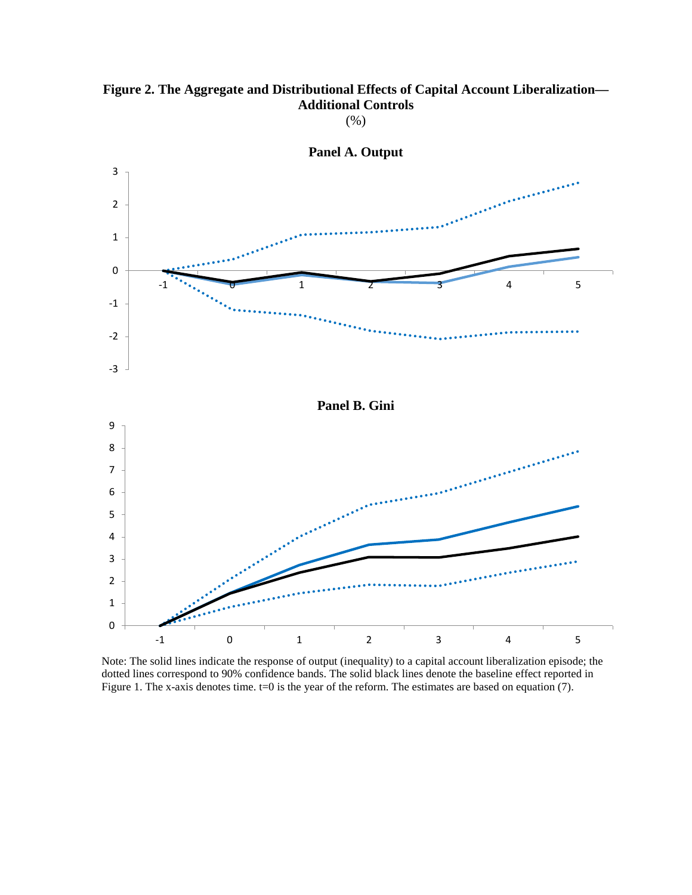## **Figure 2. The Aggregate and Distributional Effects of Capital Account Liberalization— Additional Controls**

(%)



Note: The solid lines indicate the response of output (inequality) to a capital account liberalization episode; the dotted lines correspond to 90% confidence bands. The solid black lines denote the baseline effect reported in Figure 1. The x-axis denotes time. t=0 is the year of the reform. The estimates are based on equation (7).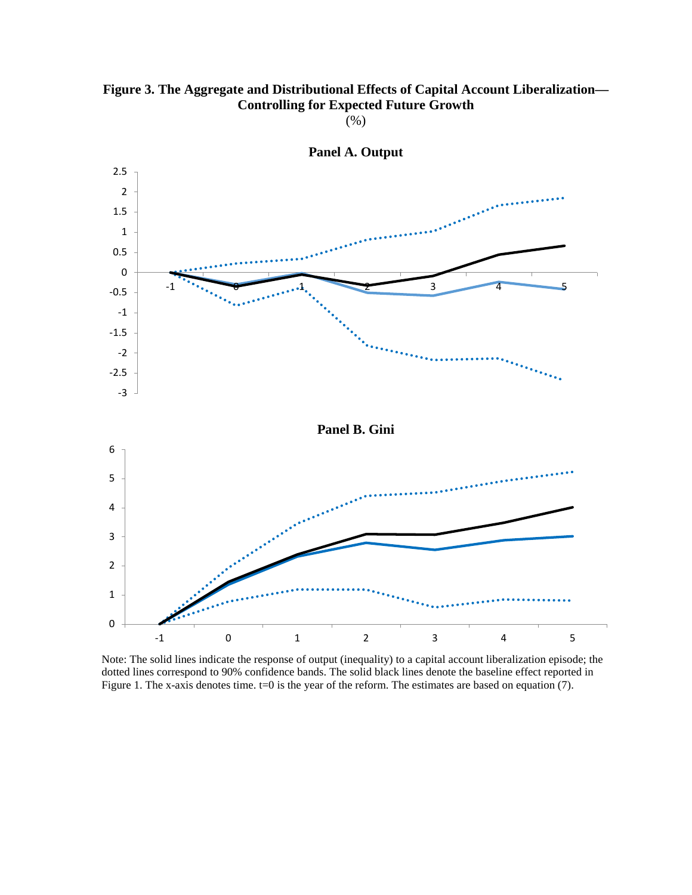

(%)



**Panel A. Output**

Note: The solid lines indicate the response of output (inequality) to a capital account liberalization episode; the dotted lines correspond to 90% confidence bands. The solid black lines denote the baseline effect reported in Figure 1. The x-axis denotes time.  $t=0$  is the year of the reform. The estimates are based on equation (7).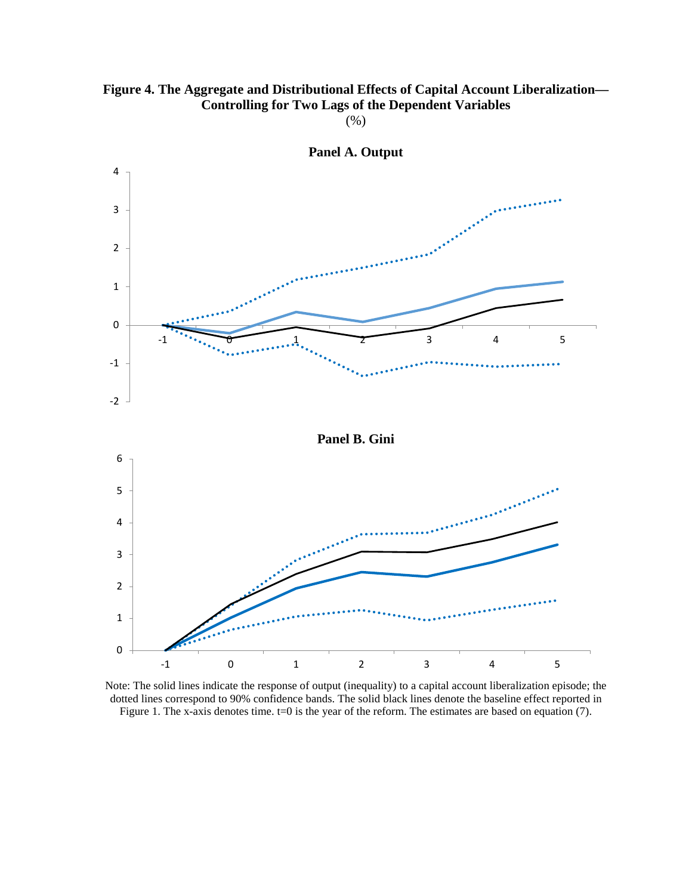

(%)



**Panel A. Output**

Note: The solid lines indicate the response of output (inequality) to a capital account liberalization episode; the dotted lines correspond to 90% confidence bands. The solid black lines denote the baseline effect reported in Figure 1. The x-axis denotes time. t=0 is the year of the reform. The estimates are based on equation (7).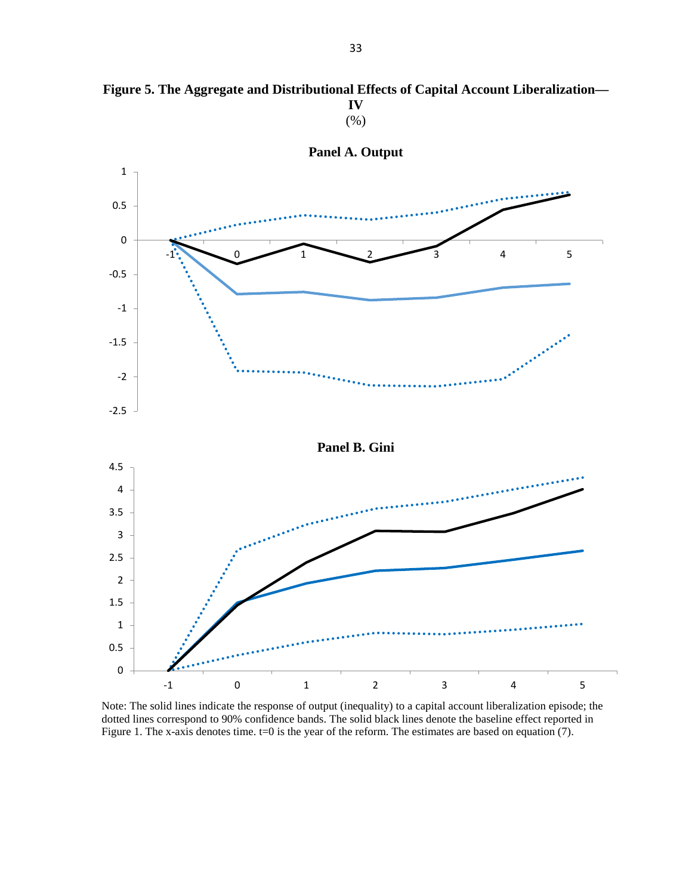

**Figure 5. The Aggregate and Distributional Effects of Capital Account Liberalization— IV**

(%)

Note: The solid lines indicate the response of output (inequality) to a capital account liberalization episode; the dotted lines correspond to 90% confidence bands. The solid black lines denote the baseline effect reported in Figure 1. The x-axis denotes time. t=0 is the year of the reform. The estimates are based on equation (7).

-1 0 1 2 3 4 5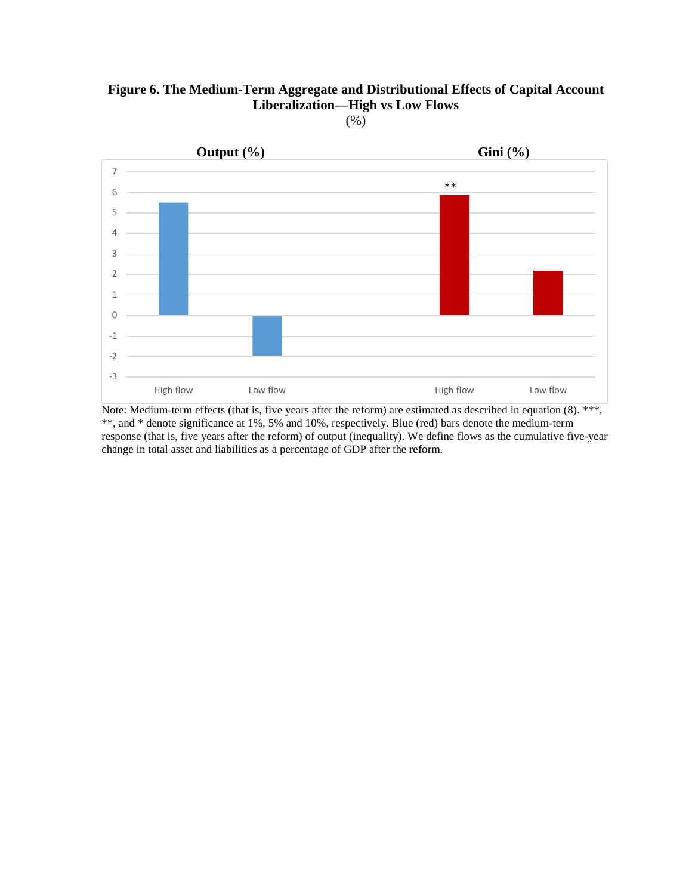## **Figure 6. The Medium-Term Aggregate and Distributional Effects of Capital Account Liberalization—High vs Low Flows**

(%)



Note: Medium-term effects (that is, five years after the reform) are estimated as described in equation (8). \*\*\*, \*\*, and \* denote significance at 1%, 5% and 10%, respectively. Blue (red) bars denote the medium-term response (that is, five years after the reform) of output (inequality). We define flows as the cumulative five-year change in total asset and liabilities as a percentage of GDP after the reform.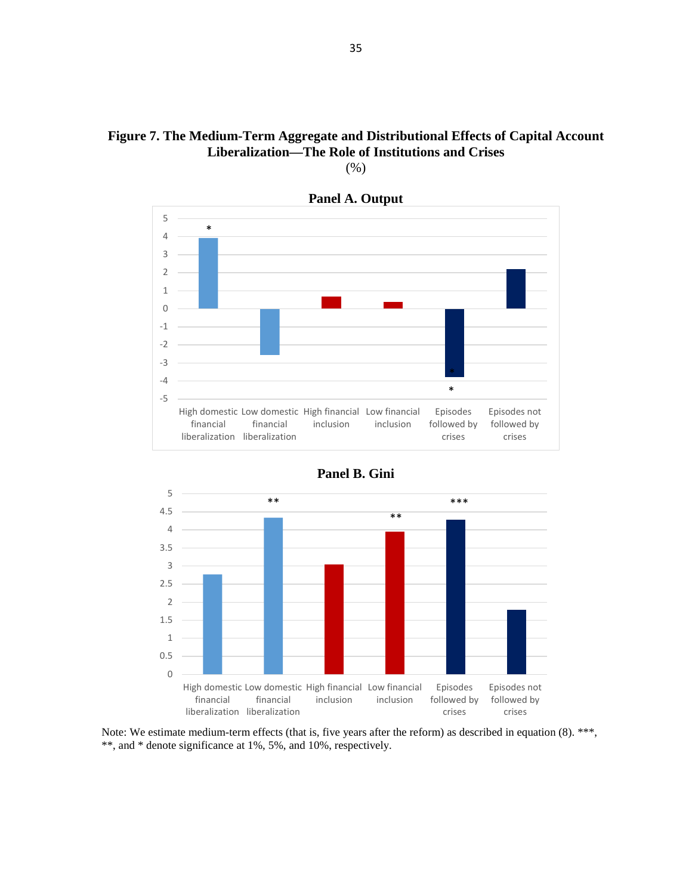## **Figure 7. The Medium-Term Aggregate and Distributional Effects of Capital Account Liberalization—The Role of Institutions and Crises**









Note: We estimate medium-term effects (that is, five years after the reform) as described in equation (8). \*\*\*, \*\*, and \* denote significance at 1%, 5%, and 10%, respectively.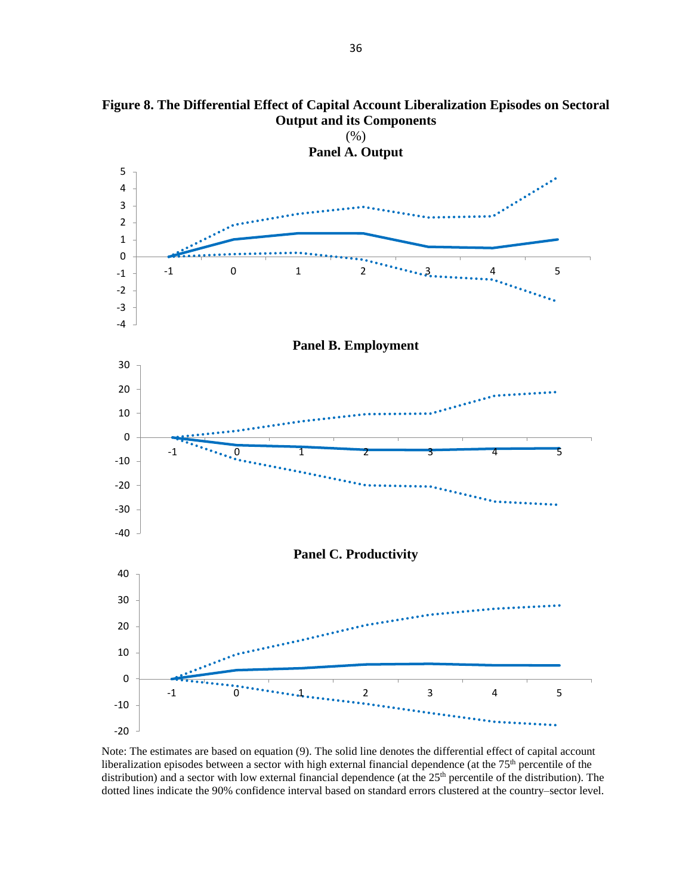

**Figure 8. The Differential Effect of Capital Account Liberalization Episodes on Sectoral Output and its Components** 

Note: The estimates are based on equation (9). The solid line denotes the differential effect of capital account liberalization episodes between a sector with high external financial dependence (at the 75<sup>th</sup> percentile of the distribution) and a sector with low external financial dependence (at the 25<sup>th</sup> percentile of the distribution). The dotted lines indicate the 90% confidence interval based on standard errors clustered at the country–sector level.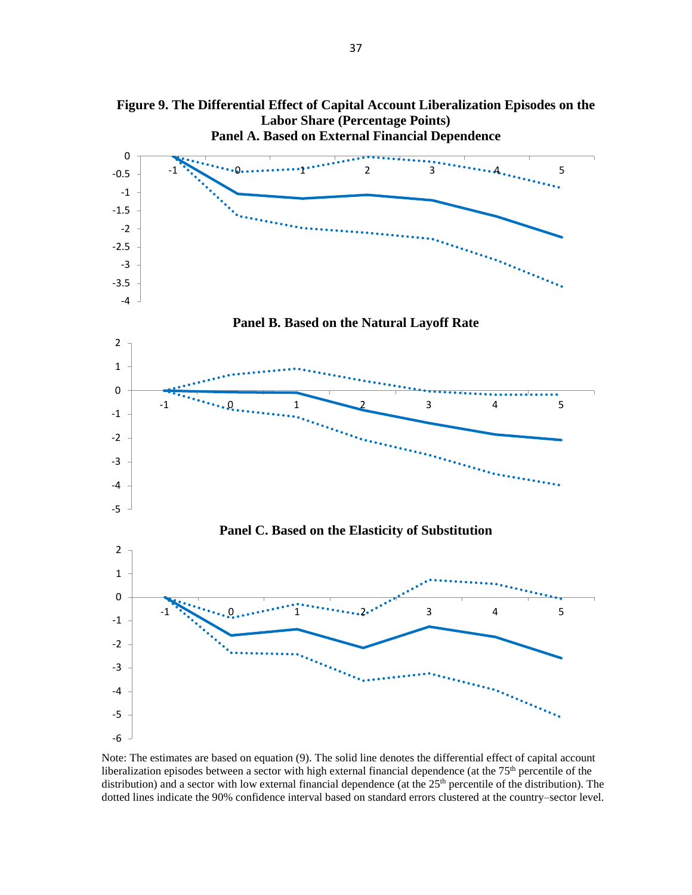

liberalization episodes between a sector with high external financial dependence (at the 75<sup>th</sup> percentile of the distribution) and a sector with low external financial dependence (at the 25<sup>th</sup> percentile of the distribution). The dotted lines indicate the 90% confidence interval based on standard errors clustered at the country–sector level.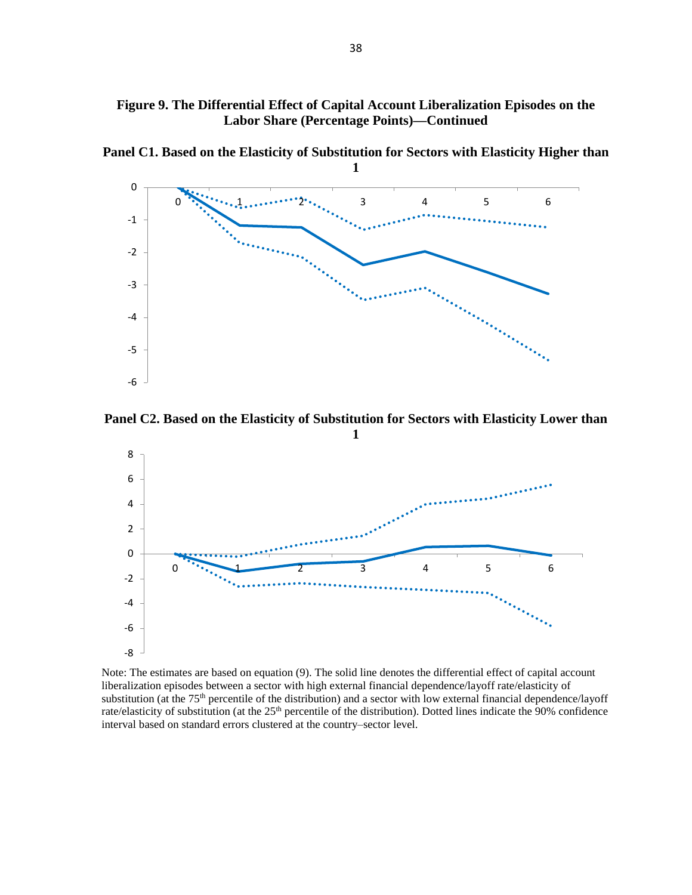## **Figure 9. The Differential Effect of Capital Account Liberalization Episodes on the Labor Share (Percentage Points)—Continued**

**Panel C1. Based on the Elasticity of Substitution for Sectors with Elasticity Higher than** 



**Panel C2. Based on the Elasticity of Substitution for Sectors with Elasticity Lower than** 



Note: The estimates are based on equation (9). The solid line denotes the differential effect of capital account liberalization episodes between a sector with high external financial dependence/layoff rate/elasticity of substitution (at the 75<sup>th</sup> percentile of the distribution) and a sector with low external financial dependence/layoff rate/elasticity of substitution (at the 25<sup>th</sup> percentile of the distribution). Dotted lines indicate the 90% confidence interval based on standard errors clustered at the country-sector level.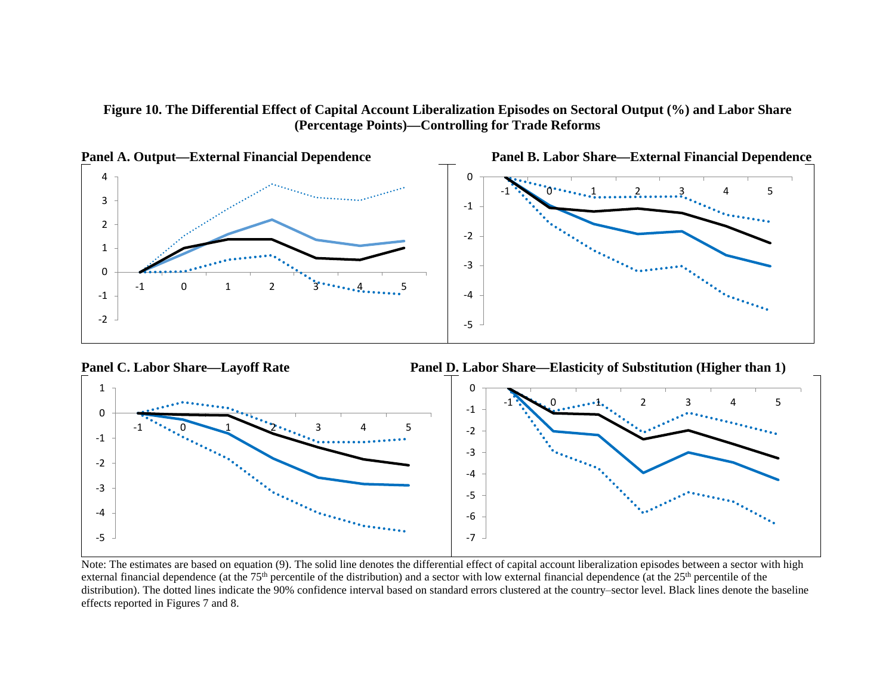**Figure 10. The Differential Effect of Capital Account Liberalization Episodes on Sectoral Output (%) and Labor Share (Percentage Points)—Controlling for Trade Reforms**





Note: The estimates are based on equation (9). The solid line denotes the differential effect of capital account liberalization episodes between a sector with high external financial dependence (at the 75<sup>th</sup> percentile of the distribution) and a sector with low external financial dependence (at the 25<sup>th</sup> percentile of the distribution). The dotted lines indicate the 90% confidence interval based on standard errors clustered at the country–sector level. Black lines denote the baseline effects reported in Figures 7 and 8.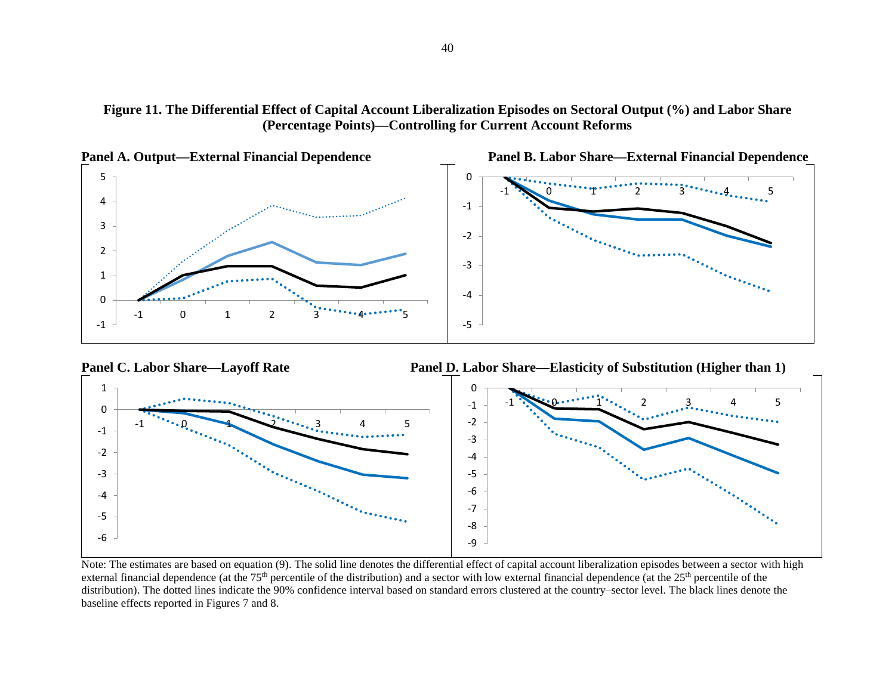





Note: The estimates are based on equation (9). The solid line denotes the differential effect of capital account liberalization episodes between a sector with high external financial dependence (at the  $75<sup>th</sup>$  percentile of the distribution) and a sector with low external financial dependence (at the  $25<sup>th</sup>$  percentile of the distribution). The dotted lines indicate the 90% confidence interval based on standard errors clustered at the country–sector level. The black lines denote the baseline effects reported in Figures 7 and 8.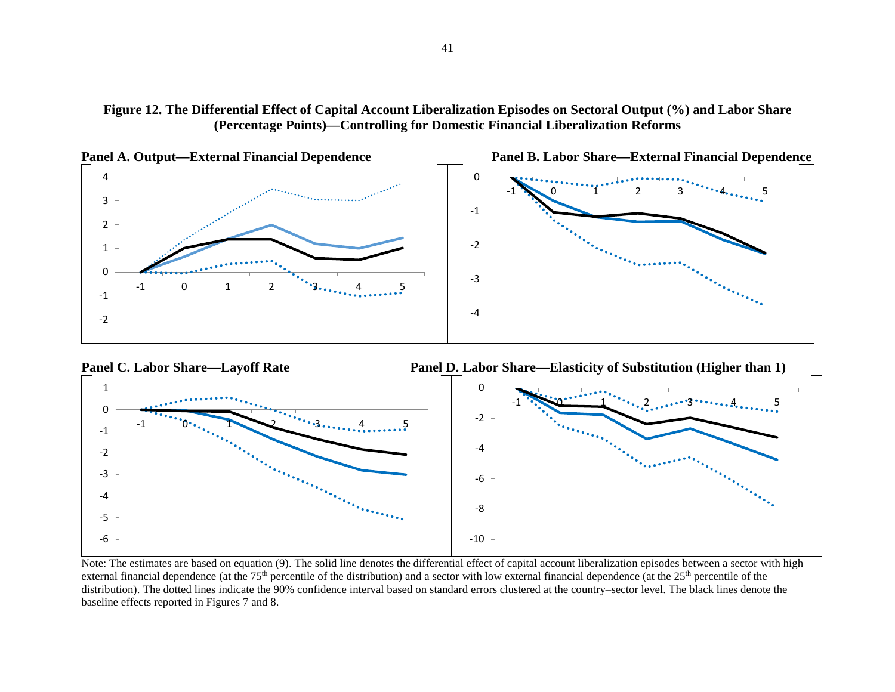





Note: The estimates are based on equation (9). The solid line denotes the differential effect of capital account liberalization episodes between a sector with high external financial dependence (at the  $75<sup>th</sup>$  percentile of the distribution) and a sector with low external financial dependence (at the  $25<sup>th</sup>$  percentile of the distribution). The dotted lines indicate the 90% confidence interval based on standard errors clustered at the country-sector level. The black lines denote the baseline effects reported in Figures 7 and 8.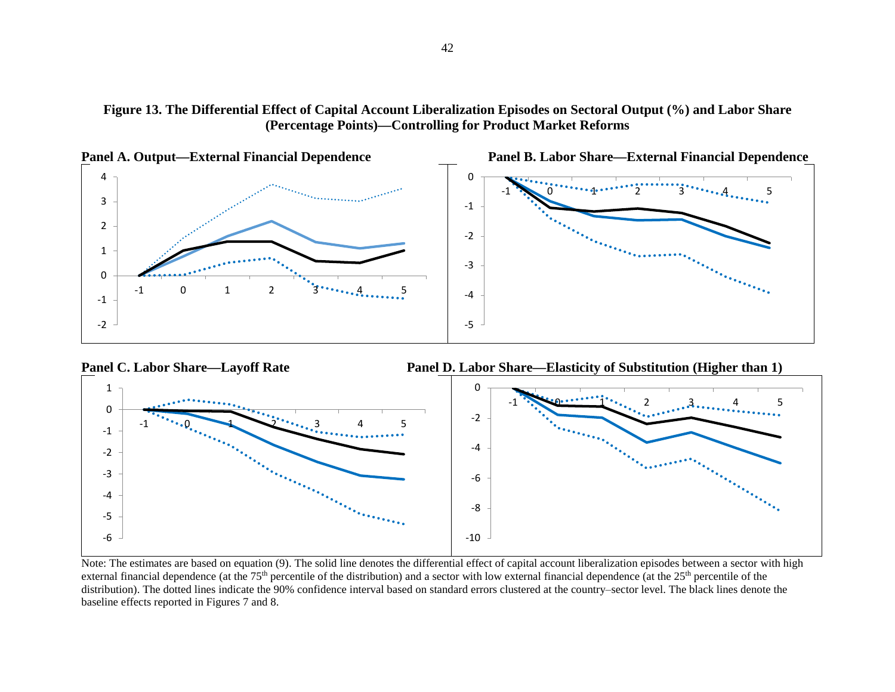





Note: The estimates are based on equation (9). The solid line denotes the differential effect of capital account liberalization episodes between a sector with high external financial dependence (at the  $75<sup>th</sup>$  percentile of the distribution) and a sector with low external financial dependence (at the  $25<sup>th</sup>$  percentile of the distribution). The dotted lines indicate the 90% confidence interval based on standard errors clustered at the country–sector level. The black lines denote the baseline effects reported in Figures 7 and 8.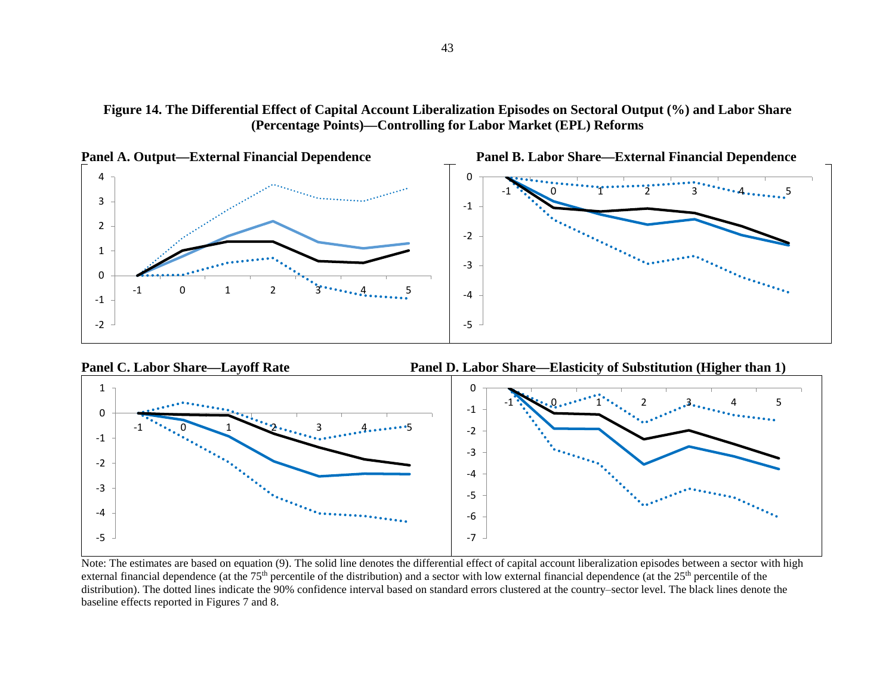





Note: The estimates are based on equation (9). The solid line denotes the differential effect of capital account liberalization episodes between a sector with high external financial dependence (at the  $75<sup>th</sup>$  percentile of the distribution) and a sector with low external financial dependence (at the  $25<sup>th</sup>$  percentile of the distribution). The dotted lines indicate the 90% confidence interval based on standard errors clustered at the country–sector level. The black lines denote the baseline effects reported in Figures 7 and 8.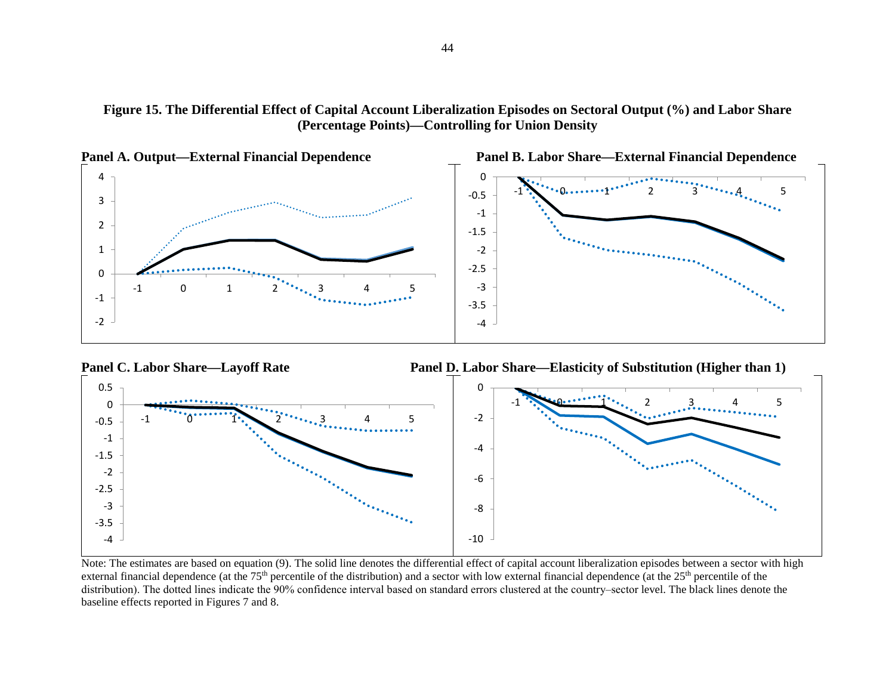





Note: The estimates are based on equation (9). The solid line denotes the differential effect of capital account liberalization episodes between a sector with high external financial dependence (at the  $75<sup>th</sup>$  percentile of the distribution) and a sector with low external financial dependence (at the  $25<sup>th</sup>$  percentile of the distribution). The dotted lines indicate the 90% confidence interval based on standard errors clustered at the country–sector level. The black lines denote the baseline effects reported in Figures 7 and 8.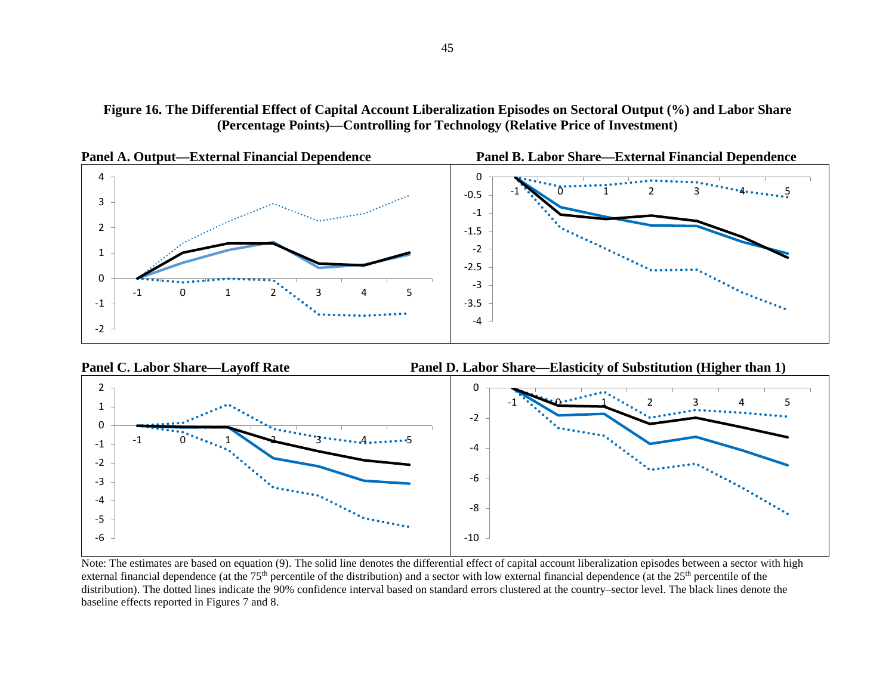





Note: The estimates are based on equation (9). The solid line denotes the differential effect of capital account liberalization episodes between a sector with high external financial dependence (at the  $75<sup>th</sup>$  percentile of the distribution) and a sector with low external financial dependence (at the  $25<sup>th</sup>$  percentile of the distribution). The dotted lines indicate the 90% confidence interval based on standard errors clustered at the country–sector level. The black lines denote the baseline effects reported in Figures 7 and 8.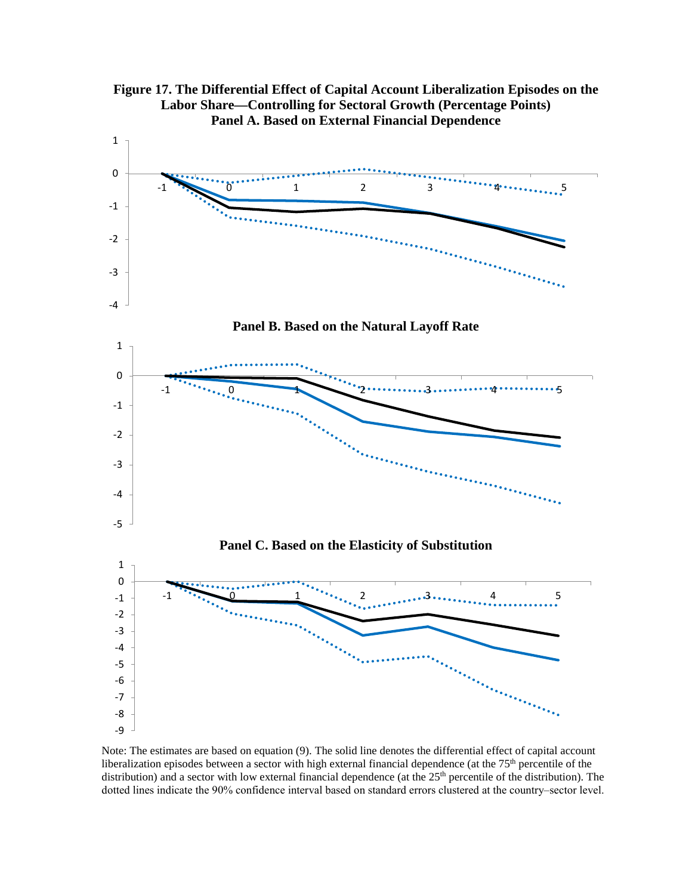



Note: The estimates are based on equation (9). The solid line denotes the differential effect of capital account liberalization episodes between a sector with high external financial dependence (at the 75<sup>th</sup> percentile of the distribution) and a sector with low external financial dependence (at the 25<sup>th</sup> percentile of the distribution). The dotted lines indicate the 90% confidence interval based on standard errors clustered at the country-sector level.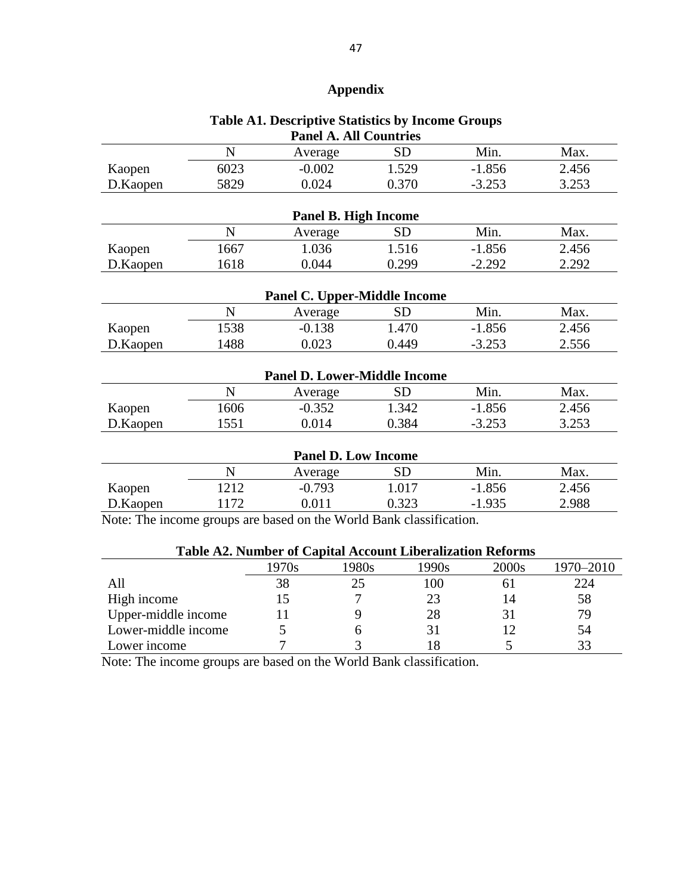## **Appendix**

## **Table A1. Descriptive Statistics by Income Groups Panel A. All Countries**

|          | N           | Average                             | <b>SD</b> | Min.     | Max.  |
|----------|-------------|-------------------------------------|-----------|----------|-------|
| Kaopen   | 6023        | $-0.002$                            | 1.529     | $-1.856$ | 2.456 |
| D.Kaopen | 5829        | 0.024                               | 0.370     | $-3.253$ | 3.253 |
|          |             | <b>Panel B. High Income</b>         |           |          |       |
|          | N           | Average                             | <b>SD</b> | Min.     | Max.  |
| Kaopen   | 1667        | 1.036                               | 1.516     | $-1.856$ | 2.456 |
| D.Kaopen | 1618        | 0.044                               | 0.299     | $-2.292$ | 2.292 |
|          |             | <b>Panel C. Upper-Middle Income</b> |           |          |       |
|          | N           | Average                             | <b>SD</b> | Min.     | Max.  |
| Kaopen   | 1538        | $-0.138$                            | 1.470     | $-1.856$ | 2.456 |
| D.Kaopen | 1488        | 0.023                               | 0.449     | $-3.253$ | 2.556 |
|          |             | <b>Panel D. Lower-Middle Income</b> |           |          |       |
|          | N           | Average                             | <b>SD</b> | Min.     | Max.  |
| Kaopen   | 1606        | $-0.352$                            | 1.342     | $-1.856$ | 2.456 |
| D.Kaopen | 1551        | 0.014                               | 0.384     | $-3.253$ | 3.253 |
|          |             | <b>Panel D. Low Income</b>          |           |          |       |
|          | $\mathbf N$ | Average                             | <b>SD</b> | Min.     | Max.  |
| Kaopen   | 1212        | $-0.793$                            | 1.017     | $-1.856$ | 2.456 |
| D.Kaopen | 1172        | 0.011                               | 0.323     | $-1.935$ | 2.988 |

Note: The income groups are based on the World Bank classification.

| <b>Table A2. Number of Capital Account Liberalization Reforms</b> |       |       |       |       |           |
|-------------------------------------------------------------------|-------|-------|-------|-------|-----------|
|                                                                   | 1970s | 1980s | 1990s | 2000s | 1970-2010 |
|                                                                   | 38    | 25    | 100   | 6 I   | 224       |
| High income                                                       |       |       | 23    | 14    | 58        |
| Upper-middle income                                               |       |       | 28    | 31    | 79        |
| Lower-middle income                                               |       |       |       | 12    | 54        |
| Lower income                                                      |       |       |       |       | 33        |

Note: The income groups are based on the World Bank classification.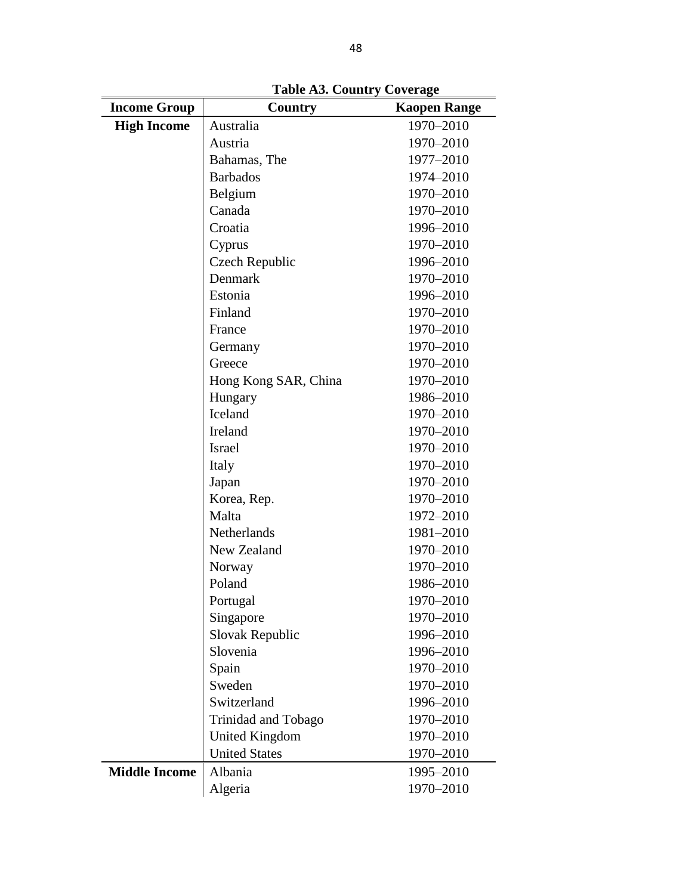| <b>Income Group</b>  | Country<br><b>Kaopen Range</b> |           |
|----------------------|--------------------------------|-----------|
| <b>High Income</b>   | Australia                      | 1970-2010 |
|                      | Austria                        | 1970-2010 |
|                      | Bahamas, The                   | 1977-2010 |
|                      | <b>Barbados</b>                | 1974-2010 |
|                      | Belgium                        | 1970-2010 |
|                      | Canada                         | 1970-2010 |
|                      | Croatia                        | 1996-2010 |
|                      | Cyprus                         | 1970-2010 |
|                      | Czech Republic                 | 1996-2010 |
|                      | Denmark                        | 1970-2010 |
|                      | Estonia                        | 1996-2010 |
|                      | Finland                        | 1970-2010 |
|                      | France                         | 1970-2010 |
|                      | Germany                        | 1970-2010 |
|                      | Greece                         | 1970-2010 |
|                      | Hong Kong SAR, China           | 1970-2010 |
|                      | Hungary                        | 1986-2010 |
|                      | Iceland                        | 1970-2010 |
|                      | Ireland                        | 1970-2010 |
|                      | <b>Israel</b>                  | 1970-2010 |
|                      | Italy                          | 1970-2010 |
|                      | Japan                          | 1970-2010 |
|                      | Korea, Rep.                    | 1970-2010 |
|                      | Malta                          | 1972-2010 |
|                      | Netherlands                    | 1981-2010 |
|                      | New Zealand                    | 1970-2010 |
|                      | Norway                         | 1970-2010 |
|                      | Poland                         | 1986-2010 |
|                      | Portugal                       | 1970-2010 |
|                      | Singapore                      | 1970-2010 |
|                      | Slovak Republic                | 1996-2010 |
|                      | Slovenia                       | 1996-2010 |
|                      | Spain                          | 1970-2010 |
|                      | Sweden                         | 1970-2010 |
|                      | Switzerland                    | 1996-2010 |
|                      | Trinidad and Tobago            | 1970-2010 |
|                      | <b>United Kingdom</b>          | 1970-2010 |
|                      | <b>United States</b>           | 1970-2010 |
| <b>Middle Income</b> | Albania                        | 1995-2010 |
|                      | Algeria                        | 1970-2010 |

**Table A3. Country Coverage**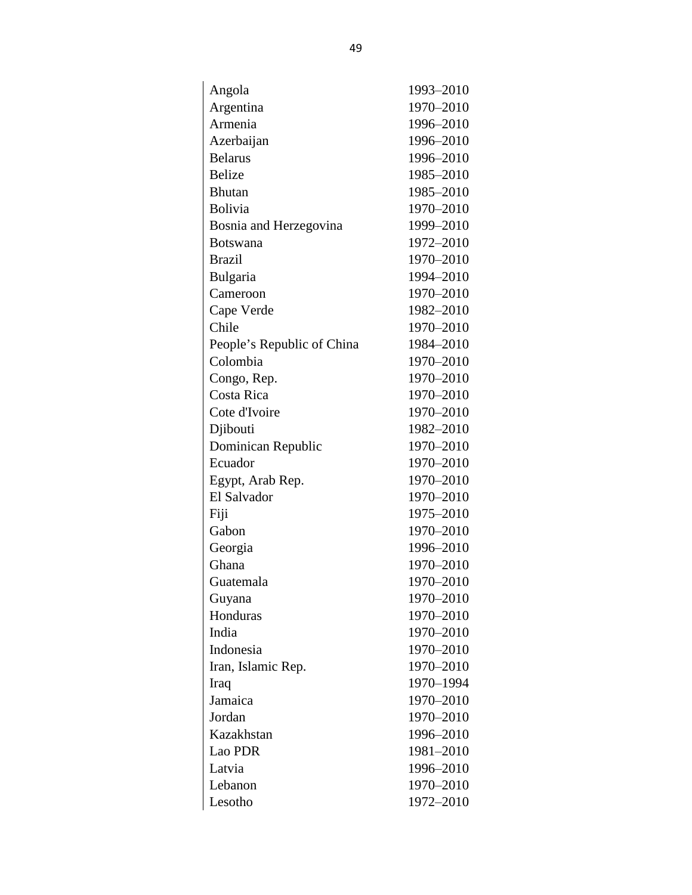| Angola                     | 1993-2010 |
|----------------------------|-----------|
| Argentina                  | 1970-2010 |
| Armenia                    | 1996-2010 |
| Azerbaijan                 | 1996-2010 |
| <b>Belarus</b>             | 1996-2010 |
| <b>Belize</b>              | 1985-2010 |
| <b>Bhutan</b>              | 1985-2010 |
| Bolivia                    | 1970-2010 |
| Bosnia and Herzegovina     | 1999-2010 |
| <b>Botswana</b>            | 1972-2010 |
| <b>Brazil</b>              | 1970-2010 |
| Bulgaria                   | 1994-2010 |
| Cameroon                   | 1970-2010 |
| Cape Verde                 | 1982-2010 |
| Chile                      | 1970-2010 |
| People's Republic of China | 1984-2010 |
| Colombia                   | 1970-2010 |
| Congo, Rep.                | 1970-2010 |
| Costa Rica                 | 1970-2010 |
| Cote d'Ivoire              | 1970-2010 |
| Djibouti                   | 1982-2010 |
| Dominican Republic         | 1970-2010 |
| Ecuador                    | 1970-2010 |
| Egypt, Arab Rep.           | 1970-2010 |
| El Salvador                | 1970-2010 |
| Fiji                       | 1975-2010 |
| Gabon                      | 1970-2010 |
| Georgia                    | 1996-2010 |
| Ghana                      | 1970-2010 |
| Guatemala                  | 1970–2010 |
| Guyana                     | 1970-2010 |
| Honduras                   | 1970-2010 |
| India                      | 1970-2010 |
| Indonesia                  | 1970-2010 |
| Iran, Islamic Rep.         | 1970-2010 |
| Iraq                       | 1970-1994 |
| Jamaica                    | 1970-2010 |
| Jordan                     | 1970-2010 |
| Kazakhstan                 | 1996-2010 |
| Lao PDR                    | 1981-2010 |
| Latvia                     | 1996-2010 |
| Lebanon                    | 1970-2010 |
| Lesotho                    | 1972–2010 |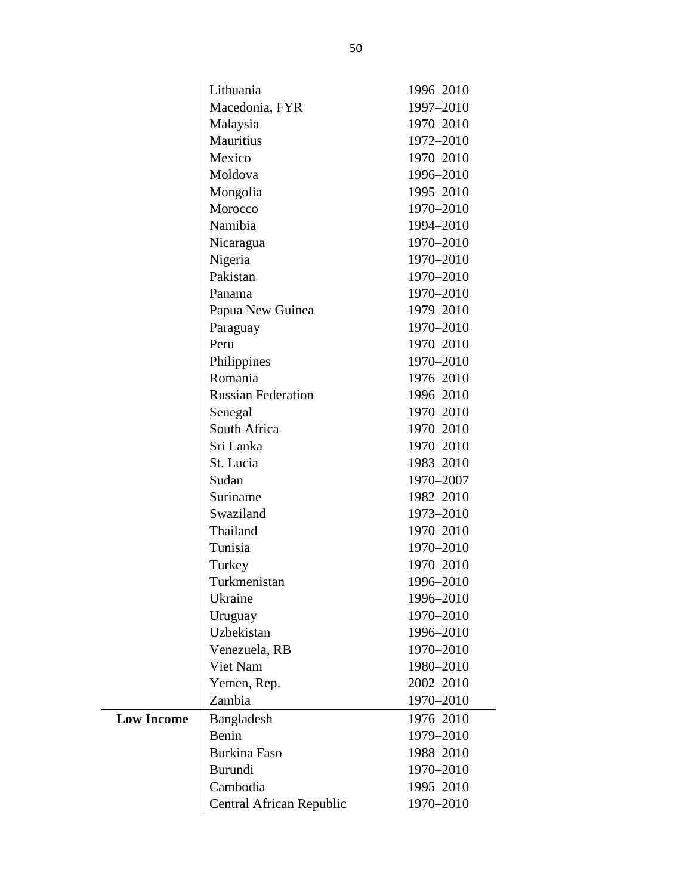|                   | Lithuania                 | 1996-2010 |
|-------------------|---------------------------|-----------|
|                   | Macedonia, FYR            | 1997-2010 |
|                   | Malaysia                  | 1970-2010 |
|                   | Mauritius                 | 1972-2010 |
|                   | Mexico                    | 1970-2010 |
|                   | Moldova                   | 1996-2010 |
|                   | Mongolia                  | 1995-2010 |
|                   | Morocco                   | 1970-2010 |
|                   | Namibia                   | 1994-2010 |
|                   | Nicaragua                 | 1970-2010 |
|                   | Nigeria                   | 1970-2010 |
|                   | Pakistan                  | 1970-2010 |
|                   | Panama                    | 1970-2010 |
|                   | Papua New Guinea          | 1979-2010 |
|                   | Paraguay                  | 1970-2010 |
|                   | Peru                      | 1970-2010 |
|                   | Philippines               | 1970-2010 |
|                   | Romania                   | 1976-2010 |
|                   | <b>Russian Federation</b> | 1996-2010 |
|                   | Senegal                   | 1970-2010 |
|                   | South Africa              | 1970-2010 |
|                   | Sri Lanka                 | 1970-2010 |
|                   | St. Lucia                 | 1983-2010 |
|                   | Sudan                     | 1970-2007 |
|                   | Suriname                  | 1982-2010 |
|                   | Swaziland                 | 1973-2010 |
|                   | Thailand                  | 1970-2010 |
|                   | Tunisia                   | 1970-2010 |
|                   | Turkey                    | 1970-2010 |
|                   | Turkmenistan              | 1996-2010 |
|                   | Ukraine                   | 1996-2010 |
|                   | Uruguay                   | 1970-2010 |
|                   | Uzbekistan                | 1996-2010 |
|                   | Venezuela, RB             | 1970-2010 |
|                   | Viet Nam                  | 1980-2010 |
|                   | Yemen, Rep.               | 2002-2010 |
|                   | Zambia                    | 1970-2010 |
| <b>Low Income</b> | Bangladesh                | 1976-2010 |
|                   | Benin                     | 1979-2010 |
|                   | <b>Burkina Faso</b>       | 1988-2010 |
|                   | Burundi                   | 1970-2010 |
|                   | Cambodia                  | 1995-2010 |
|                   | Central African Republic  | 1970-2010 |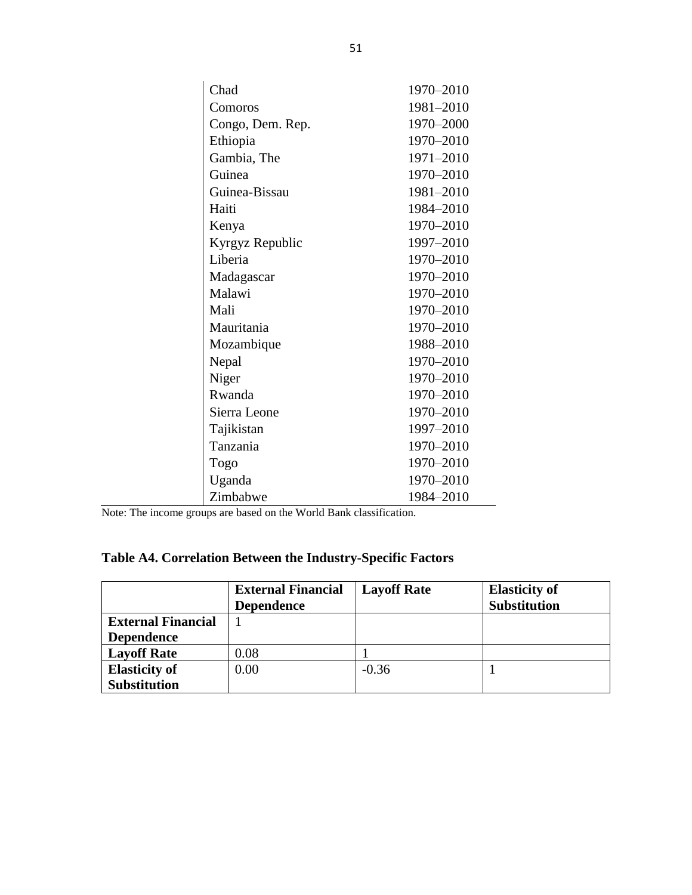| Chad             | 1970-2010 |
|------------------|-----------|
| Comoros          | 1981-2010 |
| Congo, Dem. Rep. | 1970-2000 |
| Ethiopia         | 1970-2010 |
| Gambia, The      | 1971-2010 |
| Guinea           | 1970-2010 |
| Guinea-Bissau    | 1981-2010 |
| Haiti            | 1984-2010 |
| Kenya            | 1970-2010 |
| Kyrgyz Republic  | 1997-2010 |
| Liberia          | 1970-2010 |
| Madagascar       | 1970-2010 |
| Malawi           | 1970-2010 |
| Mali             | 1970-2010 |
| Mauritania       | 1970-2010 |
| Mozambique       | 1988-2010 |
| Nepal            | 1970-2010 |
| Niger            | 1970-2010 |
| Rwanda           | 1970-2010 |
| Sierra Leone     | 1970-2010 |
| Tajikistan       | 1997-2010 |
| Tanzania         | 1970-2010 |
| Togo             | 1970-2010 |
| Uganda           | 1970-2010 |
| Zimbabwe         | 1984-2010 |

Note: The income groups are based on the World Bank classification.

# **Table A4. Correlation Between the Industry-Specific Factors**

|                           | <b>External Financial</b> | <b>Layoff Rate</b> | <b>Elasticity of</b> |
|---------------------------|---------------------------|--------------------|----------------------|
|                           | <b>Dependence</b>         |                    | <b>Substitution</b>  |
| <b>External Financial</b> |                           |                    |                      |
| <b>Dependence</b>         |                           |                    |                      |
| <b>Layoff Rate</b>        | 0.08                      |                    |                      |
| <b>Elasticity of</b>      | 0.00                      | $-0.36$            |                      |
| <b>Substitution</b>       |                           |                    |                      |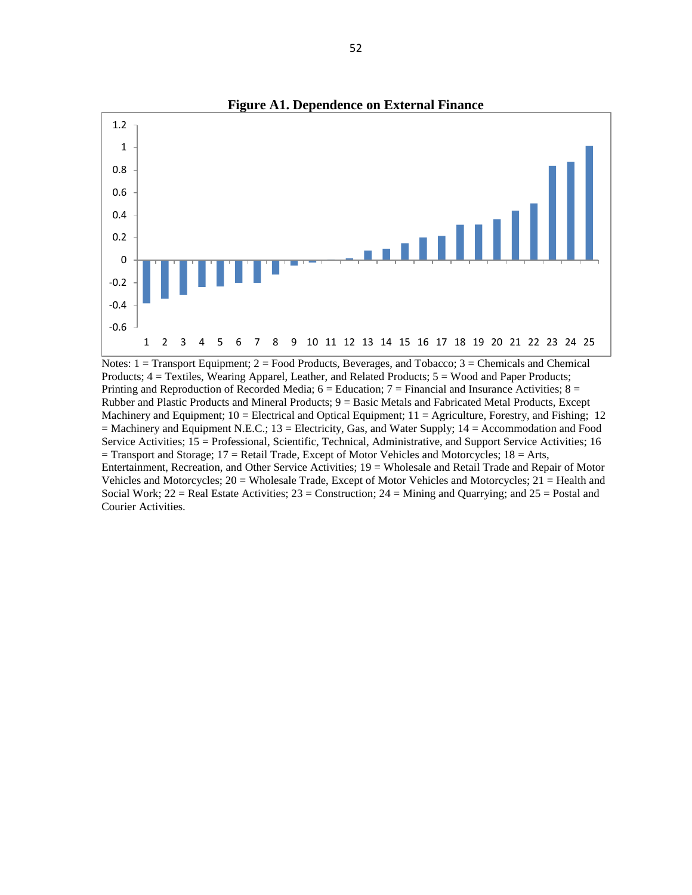

Notes:  $1 =$  Transport Equipment;  $2 =$  Food Products, Beverages, and Tobacco;  $3 =$  Chemicals and Chemical Products; 4 = Textiles, Wearing Apparel, Leather, and Related Products; 5 = Wood and Paper Products; Printing and Reproduction of Recorded Media;  $6 =$  Education;  $7 =$  Financial and Insurance Activities;  $8 =$ Rubber and Plastic Products and Mineral Products; 9 = Basic Metals and Fabricated Metal Products, Except Machinery and Equipment;  $10 =$  Electrical and Optical Equipment;  $11 =$  Agriculture, Forestry, and Fishing; 12 = Machinery and Equipment N.E.C.; 13 = Electricity, Gas, and Water Supply; 14 = Accommodation and Food Service Activities; 15 = Professional, Scientific, Technical, Administrative, and Support Service Activities; 16  $=$  Transport and Storage; 17  $=$  Retail Trade, Except of Motor Vehicles and Motorcycles; 18  $=$  Arts, Entertainment, Recreation, and Other Service Activities; 19 = Wholesale and Retail Trade and Repair of Motor Vehicles and Motorcycles; 20 = Wholesale Trade, Except of Motor Vehicles and Motorcycles; 21 = Health and Social Work;  $22 =$  Real Estate Activities;  $23 =$  Construction;  $24 =$  Mining and Quarrying; and  $25 =$  Postal and Courier Activities.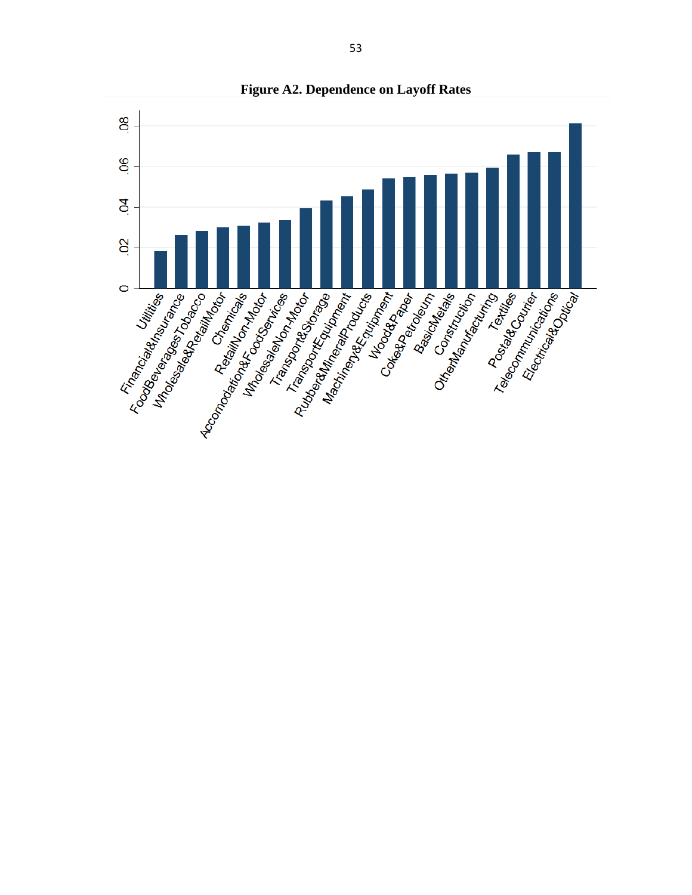

**Figure A2. Dependence on Layoff Rates**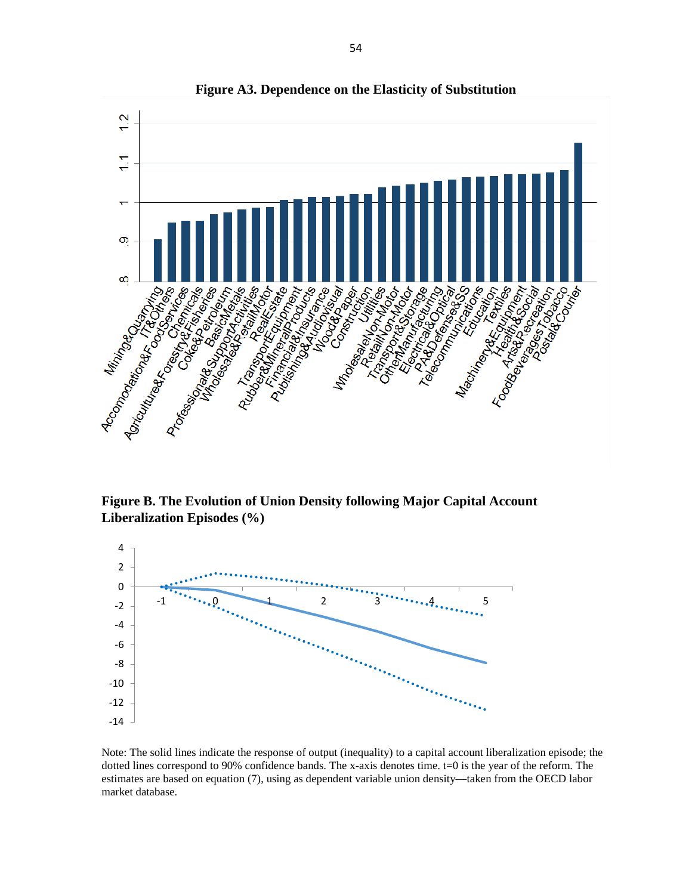

**Figure A3. Dependence on the Elasticity of Substitution**

**Figure B. The Evolution of Union Density following Major Capital Account Liberalization Episodes (%)**



Note: The solid lines indicate the response of output (inequality) to a capital account liberalization episode; the dotted lines correspond to 90% confidence bands. The x-axis denotes time. t=0 is the year of the reform. The estimates are based on equation (7), using as dependent variable union density—taken from the OECD labor market database.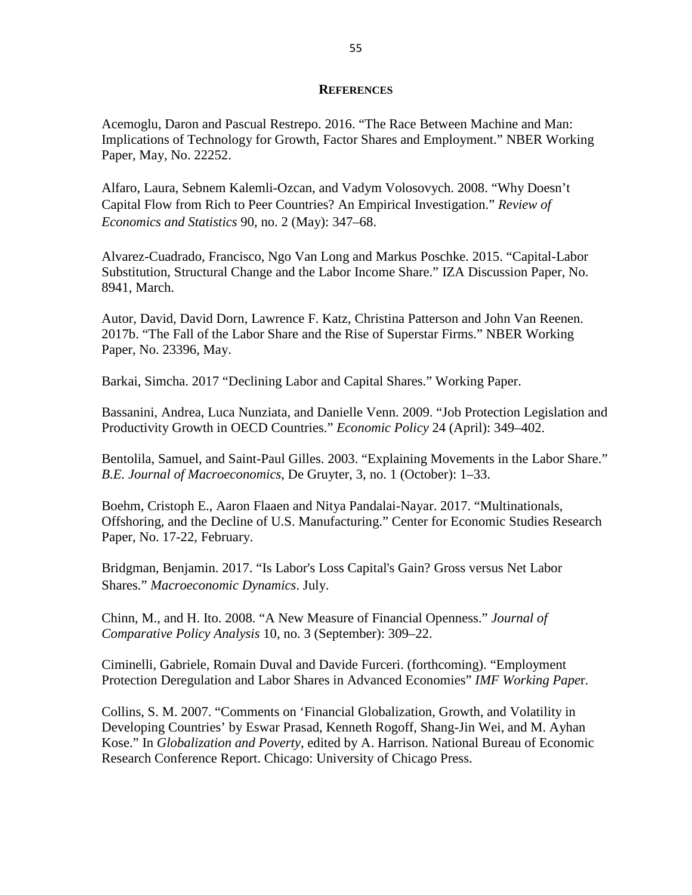## **REFERENCES**

Acemoglu, Daron and Pascual Restrepo. 2016. "The Race Between Machine and Man: Implications of Technology for Growth, Factor Shares and Employment." NBER Working Paper, May, No. 22252.

Alfaro, Laura, Sebnem Kalemli-Ozcan, and Vadym Volosovych. 2008. "Why Doesn't Capital Flow from Rich to Peer Countries? An Empirical Investigation." *Review of Economics and Statistics* 90, no. 2 (May): 347–68.

Alvarez-Cuadrado, Francisco, Ngo Van Long and Markus Poschke. 2015. "Capital-Labor Substitution, Structural Change and the Labor Income Share." IZA Discussion Paper, No. 8941, March.

Autor, David, David Dorn, Lawrence F. Katz, Christina Patterson and John Van Reenen. 2017b. "The Fall of the Labor Share and the Rise of Superstar Firms." NBER Working Paper, No. 23396, May.

Barkai, Simcha. 2017 "Declining Labor and Capital Shares." Working Paper.

Bassanini, Andrea, Luca Nunziata, and Danielle Venn. 2009. "Job Protection Legislation and Productivity Growth in OECD Countries." *Economic Policy* 24 (April): 349–402.

Bentolila, Samuel, and Saint-Paul Gilles. 2003. ["Explaining Movements in the Labor Share.](https://ideas.repec.org/a/bpj/bejmac/vcontributions.3y2003i1n9.html)" *[B.E. Journal of Macroeconomics](https://ideas.repec.org/s/bpj/bejmac.html)*, De Gruyter, 3, no. 1 (October): 1–33.

Boehm, Cristoph E., Aaron Flaaen and Nitya Pandalai-Nayar. 2017. "Multinationals, Offshoring, and the Decline of U.S. Manufacturing." Center for Economic Studies Research Paper, No. 17-22, February.

Bridgman, Benjamin. 2017. "Is Labor's Loss Capital's Gain? Gross versus Net Labor Shares." *Macroeconomic Dynamics*. July.

Chinn, M., and H. Ito. 2008. "A New Measure of Financial Openness." *Journal of Comparative Policy Analysis* 10, no. 3 (September): 309–22.

Ciminelli, Gabriele, Romain Duval and Davide Furceri. (forthcoming). "Employment Protection Deregulation and Labor Shares in Advanced Economies" *IMF Working Pape*r.

Collins, S. M. 2007. "Comments on 'Financial Globalization, Growth, and Volatility in Developing Countries' by Eswar Prasad, Kenneth Rogoff, Shang-Jin Wei, and M. Ayhan Kose." In *Globalization and Poverty*, edited by A. Harrison. National Bureau of Economic Research Conference Report. Chicago: University of Chicago Press.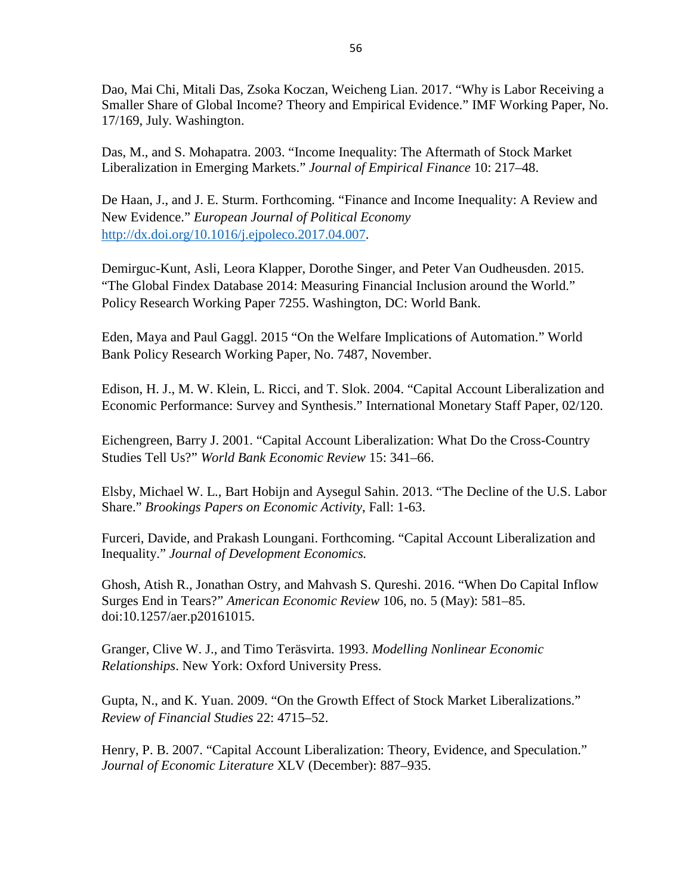Dao, Mai Chi, Mitali Das, Zsoka Koczan, Weicheng Lian. 2017. "Why is Labor Receiving a Smaller Share of Global Income? Theory and Empirical Evidence." IMF Working Paper, No. 17/169, July. Washington.

Das, M., and S. Mohapatra. 2003. "Income Inequality: The Aftermath of Stock Market Liberalization in Emerging Markets." *Journal of Empirical Finance* 10: 217–48.

De Haan, J., and J. E. Sturm. Forthcoming. "Finance and Income Inequality: A Review and New Evidence." *European Journal of Political Economy* [http://dx.doi.org/10.1016/j.ejpoleco.2017.04.007.](http://dx.doi.org/10.1016/j.ejpoleco.2017.04.007)

Demirguc-Kunt, Asli, Leora Klapper, Dorothe Singer, and Peter Van Oudheusden. 2015. "The Global Findex Database 2014: Measuring Financial Inclusion around the World." Policy Research Working Paper 7255. Washington, DC: World Bank.

Eden, Maya and Paul Gaggl. 2015 "On the Welfare Implications of Automation." World Bank Policy Research Working Paper, No. 7487, November.

Edison, H. J., M. W. Klein, L. Ricci, and T. Slok. 2004. "Capital Account Liberalization and Economic Performance: Survey and Synthesis." International Monetary Staff Paper, 02/120.

Eichengreen, Barry J. 2001. "Capital Account Liberalization: What Do the Cross-Country Studies Tell Us?" *World Bank Economic Review* 15: 341–66.

Elsby, Michael W. L., Bart Hobijn and Aysegul Sahin. 2013. "The Decline of the U.S. Labor Share." *Brookings Papers on Economic Activity*, Fall: 1-63.

Furceri, Davide, and Prakash Loungani. Forthcoming. "Capital Account Liberalization and Inequality." *Journal of Development Economics.*

Ghosh, Atish R., Jonathan Ostry, and Mahvash S. Qureshi. 2016. "When Do Capital Inflow Surges End in Tears?" *American Economic Review* 106, no. 5 (May): 581–85. doi:10.1257/aer.p20161015.

Granger, Clive W. J., and Timo Teräsvirta. 1993. *Modelling Nonlinear Economic Relationships*. New York: Oxford University Press.

Gupta, N., and K. Yuan. 2009. "On the Growth Effect of Stock Market Liberalizations." *Review of Financial Studies* 22: 4715–52.

Henry, P. B. 2007. "Capital Account Liberalization: Theory, Evidence, and Speculation." *Journal of Economic Literature* XLV (December): 887–935.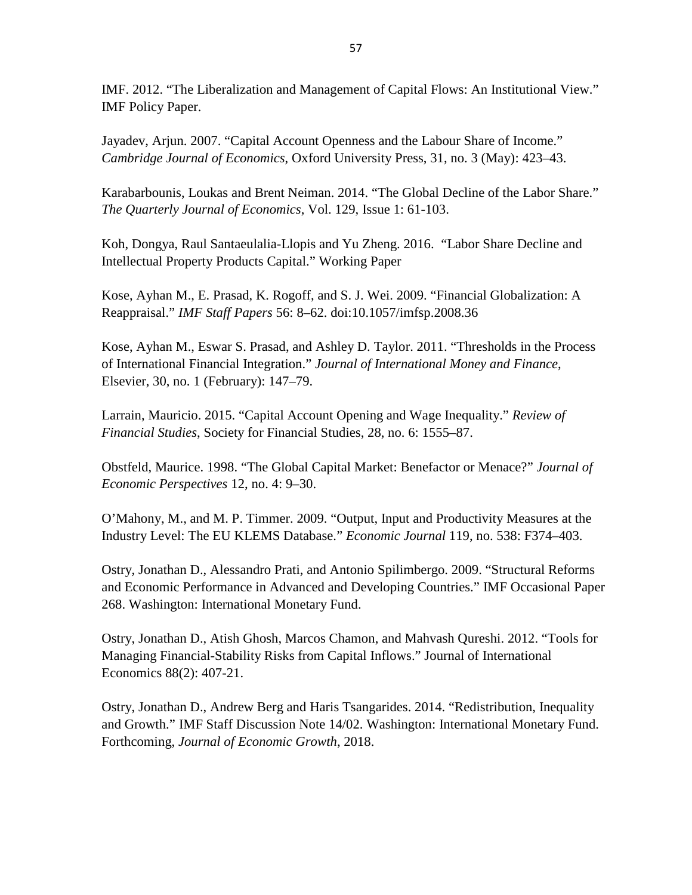IMF. 2012. "The Liberalization and Management of Capital Flows: An Institutional View." IMF Policy Paper.

Jayadev, Arjun. 2007. "Capital Account Openness and the Labour Share of Income." *Cambridge Journal of Economics*, Oxford University Press, 31, no. 3 (May): 423–43.

Karabarbounis, Loukas and Brent Neiman. 2014. "The Global Decline of the Labor Share." *The Quarterly Journal of Economics*, Vol. 129, Issue 1: 61-103.

Koh, Dongya, Raul Santaeulalia-Llopis and Yu Zheng. 2016. "Labor Share Decline and Intellectual Property Products Capital." Working Paper

Kose, Ayhan M., E. Prasad, K. Rogoff, and S. J. Wei. 2009. "Financial Globalization: A Reappraisal." *IMF Staff Papers* 56: 8–62. doi:10.1057/imfsp.2008.36

Kose, Ayhan M., Eswar S. Prasad, and Ashley D. Taylor. 2011. "Thresholds in the Process of International Financial Integration." *Journal of International Money and Finance*, Elsevier, 30, no. 1 (February): 147–79.

Larrain, Mauricio. 2015. "Capital Account Opening and Wage Inequality." *Review of Financial Studies*, Society for Financial Studies, 28, no. 6: 1555–87.

Obstfeld, Maurice. 1998. "The Global Capital Market: Benefactor or Menace?" *Journal of Economic Perspectives* 12, no. 4: 9–30.

O'Mahony, M., and M. P. Timmer. 2009. "Output, Input and Productivity Measures at the Industry Level: The EU KLEMS Database." *Economic Journal* 119, no. 538: F374–403.

Ostry, Jonathan D., Alessandro Prati, and Antonio Spilimbergo. 2009. "Structural Reforms and Economic Performance in Advanced and Developing Countries." IMF Occasional Paper 268. Washington: International Monetary Fund.

Ostry, Jonathan D., Atish Ghosh, Marcos Chamon, and Mahvash Qureshi. 2012. "Tools for Managing Financial-Stability Risks from Capital Inflows." Journal of International Economics 88(2): 407-21.

Ostry, Jonathan D., Andrew Berg and Haris Tsangarides. 2014. "Redistribution, Inequality and Growth." IMF Staff Discussion Note 14/02. Washington: International Monetary Fund. Forthcoming, *Journal of Economic Growth*, 2018.